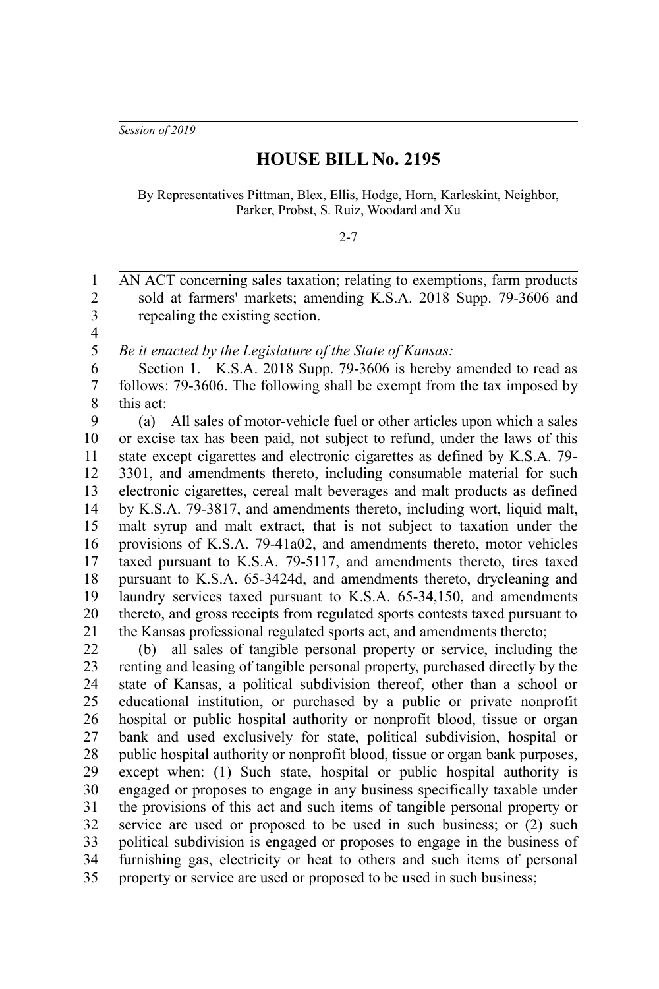*Session of 2019*

## **HOUSE BILL No. 2195**

By Representatives Pittman, Blex, Ellis, Hodge, Horn, Karleskint, Neighbor, Parker, Probst, S. Ruiz, Woodard and Xu

## 2-7

AN ACT concerning sales taxation; relating to exemptions, farm products sold at farmers' markets; amending K.S.A. 2018 Supp. 79-3606 and repealing the existing section. 1 2 3

4 5

*Be it enacted by the Legislature of the State of Kansas:*

Section 1. K.S.A. 2018 Supp. 79-3606 is hereby amended to read as follows: 79-3606. The following shall be exempt from the tax imposed by this act: 6 7 8

(a) All sales of motor-vehicle fuel or other articles upon which a sales or excise tax has been paid, not subject to refund, under the laws of this state except cigarettes and electronic cigarettes as defined by K.S.A. 79- 3301, and amendments thereto, including consumable material for such electronic cigarettes, cereal malt beverages and malt products as defined by K.S.A. 79-3817, and amendments thereto, including wort, liquid malt, malt syrup and malt extract, that is not subject to taxation under the provisions of K.S.A. 79-41a02, and amendments thereto, motor vehicles taxed pursuant to K.S.A. 79-5117, and amendments thereto, tires taxed pursuant to K.S.A. 65-3424d, and amendments thereto, drycleaning and laundry services taxed pursuant to K.S.A. 65-34,150, and amendments thereto, and gross receipts from regulated sports contests taxed pursuant to the Kansas professional regulated sports act, and amendments thereto; 9 10 11 12 13 14 15 16 17 18 19 20 21

(b) all sales of tangible personal property or service, including the renting and leasing of tangible personal property, purchased directly by the state of Kansas, a political subdivision thereof, other than a school or educational institution, or purchased by a public or private nonprofit hospital or public hospital authority or nonprofit blood, tissue or organ bank and used exclusively for state, political subdivision, hospital or public hospital authority or nonprofit blood, tissue or organ bank purposes, except when: (1) Such state, hospital or public hospital authority is engaged or proposes to engage in any business specifically taxable under the provisions of this act and such items of tangible personal property or service are used or proposed to be used in such business; or (2) such political subdivision is engaged or proposes to engage in the business of furnishing gas, electricity or heat to others and such items of personal property or service are used or proposed to be used in such business; 22 23 24 25 26 27 28 29 30 31 32 33 34 35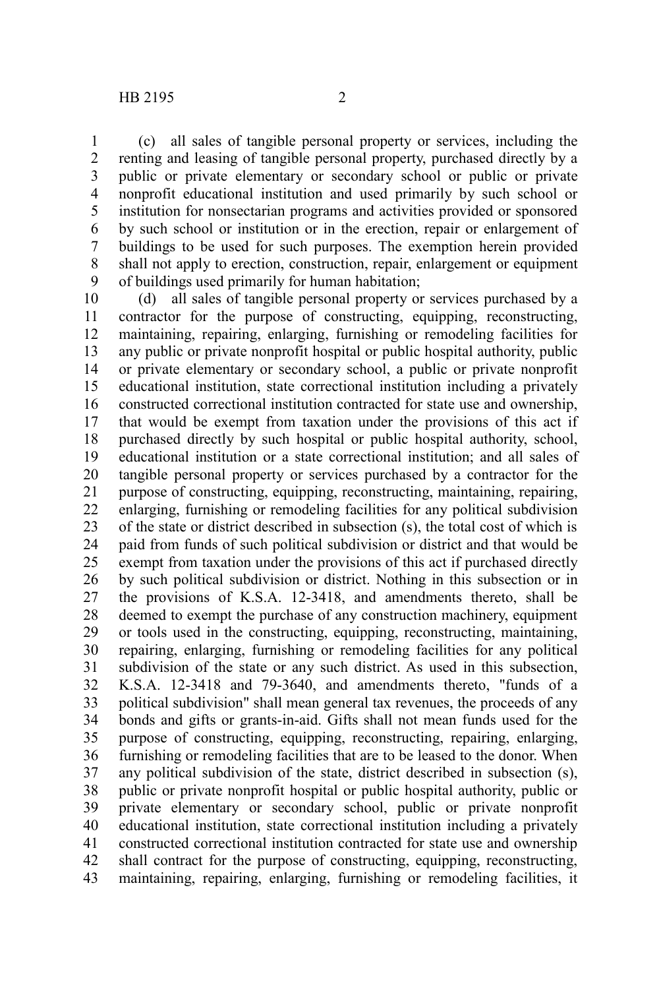(c) all sales of tangible personal property or services, including the renting and leasing of tangible personal property, purchased directly by a public or private elementary or secondary school or public or private nonprofit educational institution and used primarily by such school or institution for nonsectarian programs and activities provided or sponsored by such school or institution or in the erection, repair or enlargement of buildings to be used for such purposes. The exemption herein provided shall not apply to erection, construction, repair, enlargement or equipment of buildings used primarily for human habitation; 1 2 3 4 5 6 7 8 9

(d) all sales of tangible personal property or services purchased by a contractor for the purpose of constructing, equipping, reconstructing, maintaining, repairing, enlarging, furnishing or remodeling facilities for any public or private nonprofit hospital or public hospital authority, public or private elementary or secondary school, a public or private nonprofit educational institution, state correctional institution including a privately constructed correctional institution contracted for state use and ownership, that would be exempt from taxation under the provisions of this act if purchased directly by such hospital or public hospital authority, school, educational institution or a state correctional institution; and all sales of tangible personal property or services purchased by a contractor for the purpose of constructing, equipping, reconstructing, maintaining, repairing, enlarging, furnishing or remodeling facilities for any political subdivision of the state or district described in subsection (s), the total cost of which is paid from funds of such political subdivision or district and that would be exempt from taxation under the provisions of this act if purchased directly by such political subdivision or district. Nothing in this subsection or in the provisions of K.S.A. 12-3418, and amendments thereto, shall be deemed to exempt the purchase of any construction machinery, equipment or tools used in the constructing, equipping, reconstructing, maintaining, repairing, enlarging, furnishing or remodeling facilities for any political subdivision of the state or any such district. As used in this subsection, K.S.A. 12-3418 and 79-3640, and amendments thereto, "funds of a political subdivision" shall mean general tax revenues, the proceeds of any bonds and gifts or grants-in-aid. Gifts shall not mean funds used for the purpose of constructing, equipping, reconstructing, repairing, enlarging, furnishing or remodeling facilities that are to be leased to the donor. When any political subdivision of the state, district described in subsection (s), public or private nonprofit hospital or public hospital authority, public or private elementary or secondary school, public or private nonprofit educational institution, state correctional institution including a privately constructed correctional institution contracted for state use and ownership shall contract for the purpose of constructing, equipping, reconstructing, maintaining, repairing, enlarging, furnishing or remodeling facilities, it 10 11 12 13 14 15 16 17 18 19 20 21 22 23 24 25 26 27 28 29 30 31 32 33 34 35 36 37 38 39 40 41 42 43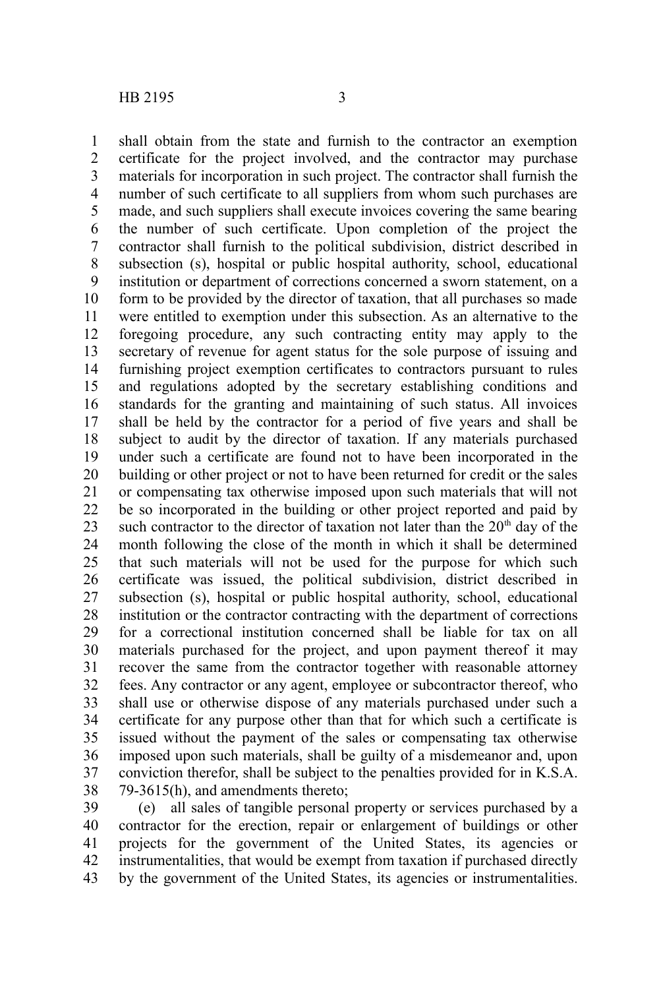shall obtain from the state and furnish to the contractor an exemption certificate for the project involved, and the contractor may purchase materials for incorporation in such project. The contractor shall furnish the number of such certificate to all suppliers from whom such purchases are made, and such suppliers shall execute invoices covering the same bearing the number of such certificate. Upon completion of the project the contractor shall furnish to the political subdivision, district described in subsection (s), hospital or public hospital authority, school, educational institution or department of corrections concerned a sworn statement, on a form to be provided by the director of taxation, that all purchases so made were entitled to exemption under this subsection. As an alternative to the foregoing procedure, any such contracting entity may apply to the secretary of revenue for agent status for the sole purpose of issuing and furnishing project exemption certificates to contractors pursuant to rules and regulations adopted by the secretary establishing conditions and standards for the granting and maintaining of such status. All invoices shall be held by the contractor for a period of five years and shall be subject to audit by the director of taxation. If any materials purchased under such a certificate are found not to have been incorporated in the building or other project or not to have been returned for credit or the sales or compensating tax otherwise imposed upon such materials that will not be so incorporated in the building or other project reported and paid by such contractor to the director of taxation not later than the  $20<sup>th</sup>$  day of the month following the close of the month in which it shall be determined that such materials will not be used for the purpose for which such certificate was issued, the political subdivision, district described in subsection (s), hospital or public hospital authority, school, educational institution or the contractor contracting with the department of corrections for a correctional institution concerned shall be liable for tax on all materials purchased for the project, and upon payment thereof it may recover the same from the contractor together with reasonable attorney fees. Any contractor or any agent, employee or subcontractor thereof, who shall use or otherwise dispose of any materials purchased under such a certificate for any purpose other than that for which such a certificate is issued without the payment of the sales or compensating tax otherwise imposed upon such materials, shall be guilty of a misdemeanor and, upon conviction therefor, shall be subject to the penalties provided for in K.S.A. 79-3615(h), and amendments thereto; 1 2 3 4 5 6 7 8 9 10 11 12 13 14 15 16 17 18 19 20 21 22 23 24 25 26 27 28 29 30 31 32 33 34 35 36 37 38

(e) all sales of tangible personal property or services purchased by a contractor for the erection, repair or enlargement of buildings or other projects for the government of the United States, its agencies or instrumentalities, that would be exempt from taxation if purchased directly by the government of the United States, its agencies or instrumentalities. 39 40 41 42 43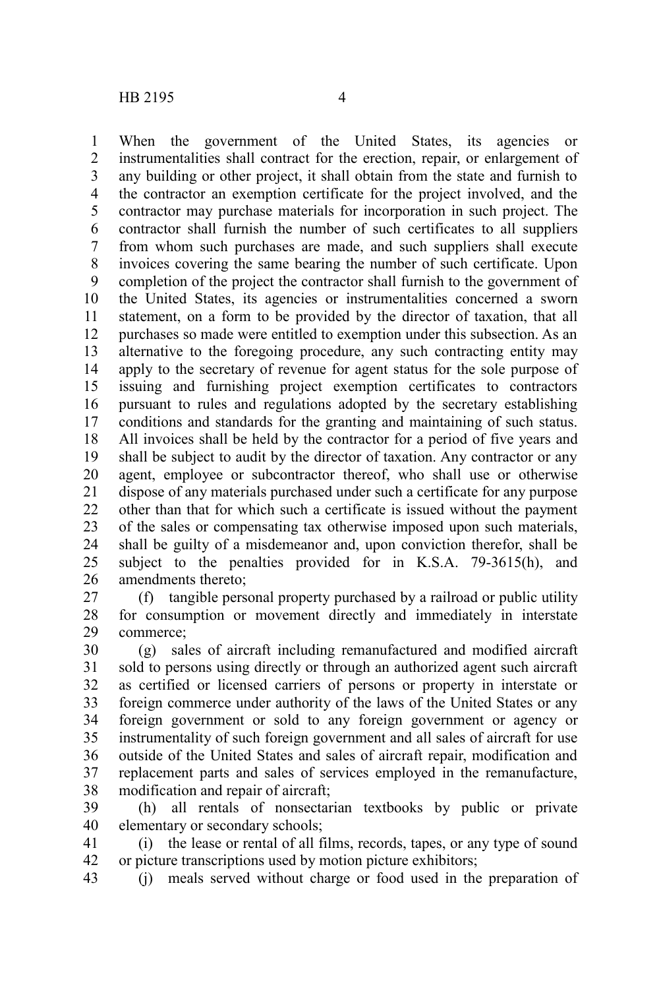When the government of the United States, its agencies or instrumentalities shall contract for the erection, repair, or enlargement of any building or other project, it shall obtain from the state and furnish to the contractor an exemption certificate for the project involved, and the contractor may purchase materials for incorporation in such project. The contractor shall furnish the number of such certificates to all suppliers from whom such purchases are made, and such suppliers shall execute invoices covering the same bearing the number of such certificate. Upon completion of the project the contractor shall furnish to the government of the United States, its agencies or instrumentalities concerned a sworn statement, on a form to be provided by the director of taxation, that all purchases so made were entitled to exemption under this subsection. As an alternative to the foregoing procedure, any such contracting entity may apply to the secretary of revenue for agent status for the sole purpose of issuing and furnishing project exemption certificates to contractors pursuant to rules and regulations adopted by the secretary establishing conditions and standards for the granting and maintaining of such status. All invoices shall be held by the contractor for a period of five years and shall be subject to audit by the director of taxation. Any contractor or any agent, employee or subcontractor thereof, who shall use or otherwise dispose of any materials purchased under such a certificate for any purpose other than that for which such a certificate is issued without the payment of the sales or compensating tax otherwise imposed upon such materials, shall be guilty of a misdemeanor and, upon conviction therefor, shall be subject to the penalties provided for in K.S.A. 79-3615(h), and amendments thereto; 1 2 3 4 5 6 7 8 9 10 11 12 13 14 15 16 17 18 19 20 21 22 23 24 25 26

(f) tangible personal property purchased by a railroad or public utility for consumption or movement directly and immediately in interstate commerce; 27 28 29

(g) sales of aircraft including remanufactured and modified aircraft sold to persons using directly or through an authorized agent such aircraft as certified or licensed carriers of persons or property in interstate or foreign commerce under authority of the laws of the United States or any foreign government or sold to any foreign government or agency or instrumentality of such foreign government and all sales of aircraft for use outside of the United States and sales of aircraft repair, modification and replacement parts and sales of services employed in the remanufacture, modification and repair of aircraft; 30 31 32 33 34 35 36 37 38

(h) all rentals of nonsectarian textbooks by public or private elementary or secondary schools; 39 40

(i) the lease or rental of all films, records, tapes, or any type of sound or picture transcriptions used by motion picture exhibitors; 41 42

(j) meals served without charge or food used in the preparation of 43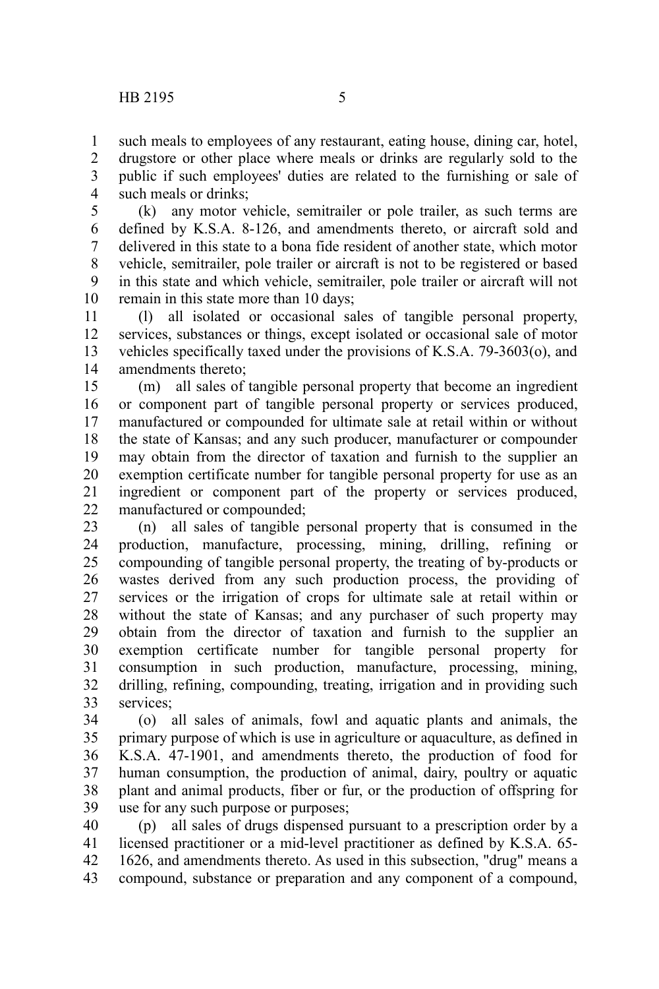such meals to employees of any restaurant, eating house, dining car, hotel, 1

drugstore or other place where meals or drinks are regularly sold to the public if such employees' duties are related to the furnishing or sale of such meals or drinks; 2 3 4

(k) any motor vehicle, semitrailer or pole trailer, as such terms are defined by K.S.A. 8-126, and amendments thereto, or aircraft sold and delivered in this state to a bona fide resident of another state, which motor vehicle, semitrailer, pole trailer or aircraft is not to be registered or based in this state and which vehicle, semitrailer, pole trailer or aircraft will not remain in this state more than 10 days; 5 6 7 8 9 10

(l) all isolated or occasional sales of tangible personal property, services, substances or things, except isolated or occasional sale of motor vehicles specifically taxed under the provisions of K.S.A. 79-3603(o), and amendments thereto; 11 12 13 14

(m) all sales of tangible personal property that become an ingredient or component part of tangible personal property or services produced, manufactured or compounded for ultimate sale at retail within or without the state of Kansas; and any such producer, manufacturer or compounder may obtain from the director of taxation and furnish to the supplier an exemption certificate number for tangible personal property for use as an ingredient or component part of the property or services produced, manufactured or compounded; 15 16 17 18 19 20 21 22

(n) all sales of tangible personal property that is consumed in the production, manufacture, processing, mining, drilling, refining or compounding of tangible personal property, the treating of by-products or wastes derived from any such production process, the providing of services or the irrigation of crops for ultimate sale at retail within or without the state of Kansas; and any purchaser of such property may obtain from the director of taxation and furnish to the supplier an exemption certificate number for tangible personal property for consumption in such production, manufacture, processing, mining, drilling, refining, compounding, treating, irrigation and in providing such services<sup>.</sup> 23 24 25 26 27 28 29 30 31 32 33

(o) all sales of animals, fowl and aquatic plants and animals, the primary purpose of which is use in agriculture or aquaculture, as defined in K.S.A. 47-1901, and amendments thereto, the production of food for human consumption, the production of animal, dairy, poultry or aquatic plant and animal products, fiber or fur, or the production of offspring for use for any such purpose or purposes; 34 35 36 37 38 39

(p) all sales of drugs dispensed pursuant to a prescription order by a licensed practitioner or a mid-level practitioner as defined by K.S.A. 65- 1626, and amendments thereto. As used in this subsection, "drug" means a compound, substance or preparation and any component of a compound, 40 41 42 43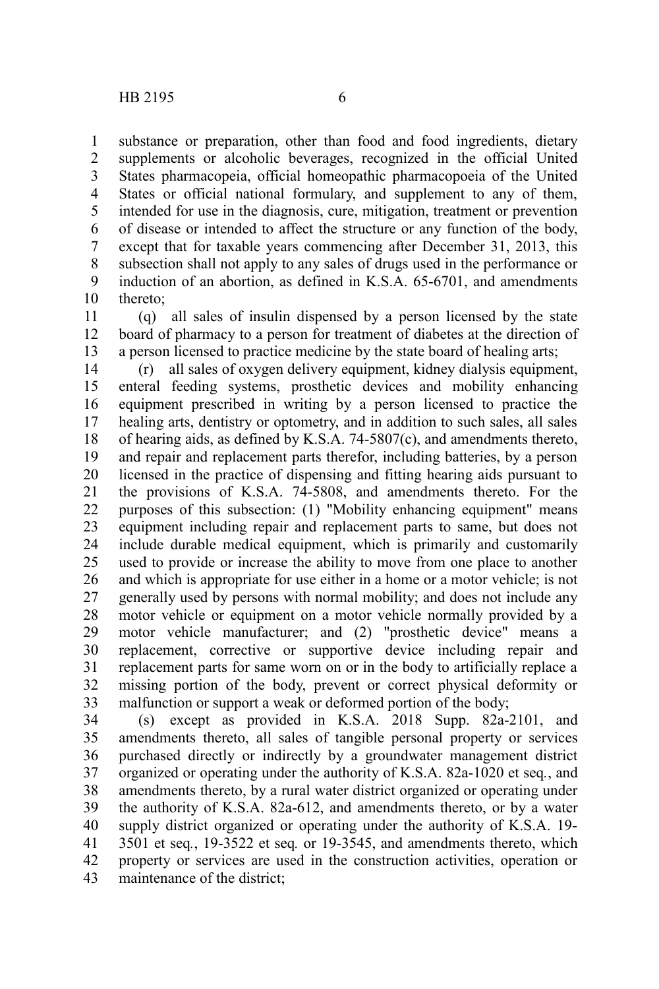substance or preparation, other than food and food ingredients, dietary supplements or alcoholic beverages, recognized in the official United States pharmacopeia, official homeopathic pharmacopoeia of the United States or official national formulary, and supplement to any of them, intended for use in the diagnosis, cure, mitigation, treatment or prevention of disease or intended to affect the structure or any function of the body, except that for taxable years commencing after December 31, 2013, this subsection shall not apply to any sales of drugs used in the performance or induction of an abortion, as defined in K.S.A. 65-6701, and amendments thereto; 1 2 3 4 5 6 7 8 9 10

(q) all sales of insulin dispensed by a person licensed by the state board of pharmacy to a person for treatment of diabetes at the direction of a person licensed to practice medicine by the state board of healing arts; 11 12 13

(r) all sales of oxygen delivery equipment, kidney dialysis equipment, enteral feeding systems, prosthetic devices and mobility enhancing equipment prescribed in writing by a person licensed to practice the healing arts, dentistry or optometry, and in addition to such sales, all sales of hearing aids, as defined by K.S.A. 74-5807(c), and amendments thereto, and repair and replacement parts therefor, including batteries, by a person licensed in the practice of dispensing and fitting hearing aids pursuant to the provisions of K.S.A. 74-5808, and amendments thereto. For the purposes of this subsection: (1) "Mobility enhancing equipment" means equipment including repair and replacement parts to same, but does not include durable medical equipment, which is primarily and customarily used to provide or increase the ability to move from one place to another and which is appropriate for use either in a home or a motor vehicle; is not generally used by persons with normal mobility; and does not include any motor vehicle or equipment on a motor vehicle normally provided by a motor vehicle manufacturer; and (2) "prosthetic device" means a replacement, corrective or supportive device including repair and replacement parts for same worn on or in the body to artificially replace a missing portion of the body, prevent or correct physical deformity or malfunction or support a weak or deformed portion of the body; 14 15 16 17 18 19 20 21 22 23 24 25 26 27 28 29 30 31 32 33

(s) except as provided in K.S.A. 2018 Supp. 82a-2101, and amendments thereto, all sales of tangible personal property or services purchased directly or indirectly by a groundwater management district organized or operating under the authority of K.S.A. 82a-1020 et seq*.*, and amendments thereto, by a rural water district organized or operating under the authority of K.S.A. 82a-612, and amendments thereto, or by a water supply district organized or operating under the authority of K.S.A. 19- 3501 et seq*.*, 19-3522 et seq*.* or 19-3545, and amendments thereto, which property or services are used in the construction activities, operation or maintenance of the district; 34 35 36 37 38 39 40 41 42 43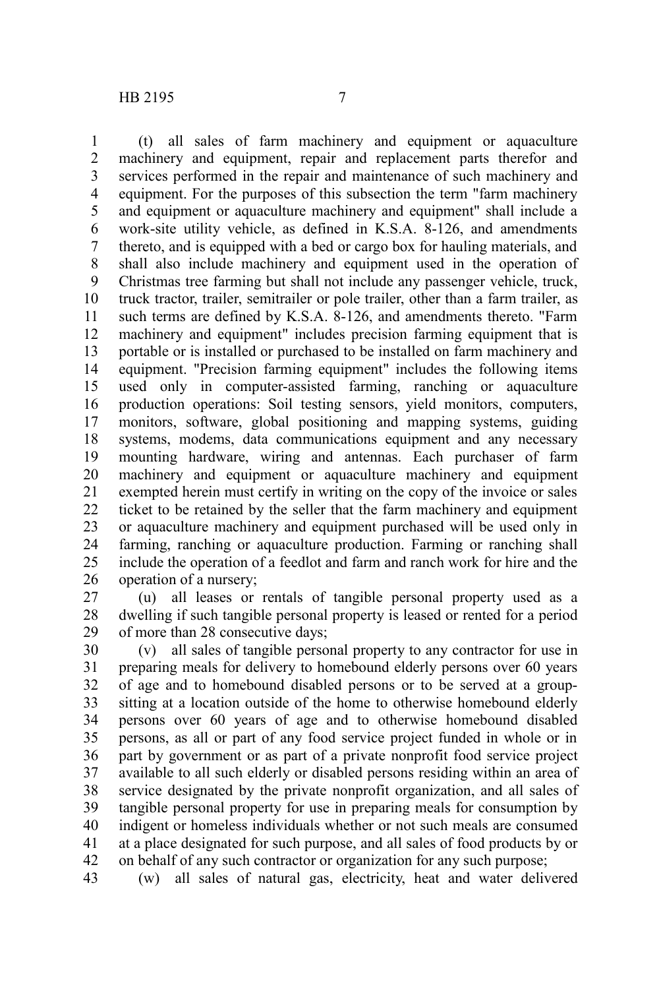(t) all sales of farm machinery and equipment or aquaculture machinery and equipment, repair and replacement parts therefor and services performed in the repair and maintenance of such machinery and equipment. For the purposes of this subsection the term "farm machinery and equipment or aquaculture machinery and equipment" shall include a work-site utility vehicle, as defined in K.S.A. 8-126, and amendments thereto, and is equipped with a bed or cargo box for hauling materials, and shall also include machinery and equipment used in the operation of Christmas tree farming but shall not include any passenger vehicle, truck, truck tractor, trailer, semitrailer or pole trailer, other than a farm trailer, as such terms are defined by K.S.A. 8-126, and amendments thereto. "Farm machinery and equipment" includes precision farming equipment that is portable or is installed or purchased to be installed on farm machinery and equipment. "Precision farming equipment" includes the following items used only in computer-assisted farming, ranching or aquaculture production operations: Soil testing sensors, yield monitors, computers, monitors, software, global positioning and mapping systems, guiding systems, modems, data communications equipment and any necessary mounting hardware, wiring and antennas. Each purchaser of farm machinery and equipment or aquaculture machinery and equipment exempted herein must certify in writing on the copy of the invoice or sales ticket to be retained by the seller that the farm machinery and equipment or aquaculture machinery and equipment purchased will be used only in farming, ranching or aquaculture production. Farming or ranching shall include the operation of a feedlot and farm and ranch work for hire and the operation of a nursery; 1 2 3 4 5 6 7 8 9 10 11 12 13 14 15 16 17 18 19 20 21 22 23 24 25 26

(u) all leases or rentals of tangible personal property used as a dwelling if such tangible personal property is leased or rented for a period of more than 28 consecutive days; 27 28 29

(v) all sales of tangible personal property to any contractor for use in preparing meals for delivery to homebound elderly persons over 60 years of age and to homebound disabled persons or to be served at a groupsitting at a location outside of the home to otherwise homebound elderly persons over 60 years of age and to otherwise homebound disabled persons, as all or part of any food service project funded in whole or in part by government or as part of a private nonprofit food service project available to all such elderly or disabled persons residing within an area of service designated by the private nonprofit organization, and all sales of tangible personal property for use in preparing meals for consumption by indigent or homeless individuals whether or not such meals are consumed at a place designated for such purpose, and all sales of food products by or on behalf of any such contractor or organization for any such purpose; 30 31 32 33 34 35 36 37 38 39 40 41 42

(w) all sales of natural gas, electricity, heat and water delivered 43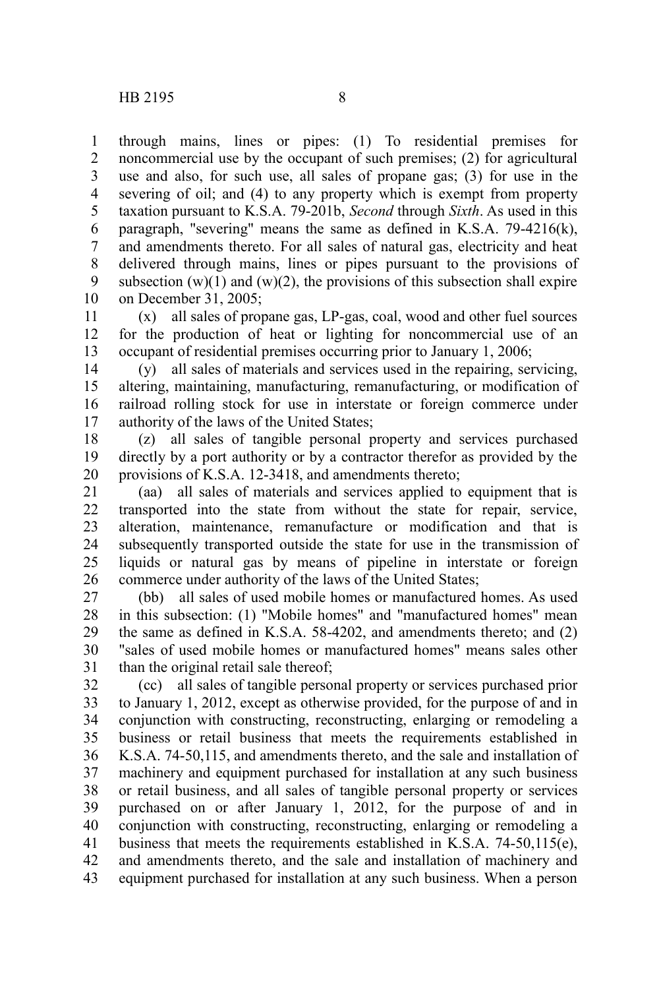through mains, lines or pipes: (1) To residential premises for noncommercial use by the occupant of such premises; (2) for agricultural use and also, for such use, all sales of propane gas; (3) for use in the severing of oil; and (4) to any property which is exempt from property taxation pursuant to K.S.A. 79-201b, *Second* through *Sixth*. As used in this paragraph, "severing" means the same as defined in K.S.A. 79-4216(k), and amendments thereto. For all sales of natural gas, electricity and heat delivered through mains, lines or pipes pursuant to the provisions of subsection  $(w)(1)$  and  $(w)(2)$ , the provisions of this subsection shall expire on December 31, 2005; 1 2 3 4 5 6 7 8 9 10

(x) all sales of propane gas, LP-gas, coal, wood and other fuel sources for the production of heat or lighting for noncommercial use of an occupant of residential premises occurring prior to January 1, 2006; 11 12 13

(y) all sales of materials and services used in the repairing, servicing, altering, maintaining, manufacturing, remanufacturing, or modification of railroad rolling stock for use in interstate or foreign commerce under authority of the laws of the United States; 14 15 16 17

(z) all sales of tangible personal property and services purchased directly by a port authority or by a contractor therefor as provided by the provisions of K.S.A. 12-3418, and amendments thereto; 18 19 20

(aa) all sales of materials and services applied to equipment that is transported into the state from without the state for repair, service, alteration, maintenance, remanufacture or modification and that is subsequently transported outside the state for use in the transmission of liquids or natural gas by means of pipeline in interstate or foreign commerce under authority of the laws of the United States; 21 22 23 24 25 26

(bb) all sales of used mobile homes or manufactured homes. As used in this subsection: (1) "Mobile homes" and "manufactured homes" mean the same as defined in K.S.A. 58-4202, and amendments thereto; and (2) "sales of used mobile homes or manufactured homes" means sales other than the original retail sale thereof; 27 28 29 30 31

(cc) all sales of tangible personal property or services purchased prior to January 1, 2012, except as otherwise provided, for the purpose of and in conjunction with constructing, reconstructing, enlarging or remodeling a business or retail business that meets the requirements established in K.S.A. 74-50,115, and amendments thereto, and the sale and installation of machinery and equipment purchased for installation at any such business or retail business, and all sales of tangible personal property or services purchased on or after January 1, 2012, for the purpose of and in conjunction with constructing, reconstructing, enlarging or remodeling a business that meets the requirements established in K.S.A. 74-50,115(e), and amendments thereto, and the sale and installation of machinery and equipment purchased for installation at any such business. When a person 32 33 34 35 36 37 38 39 40 41 42 43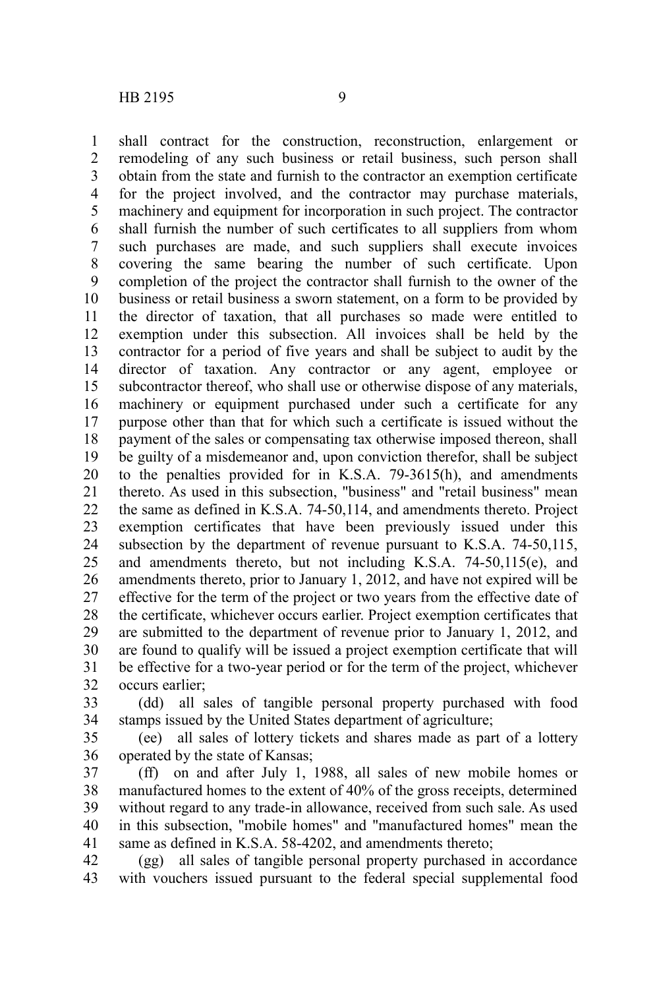shall contract for the construction, reconstruction, enlargement or remodeling of any such business or retail business, such person shall obtain from the state and furnish to the contractor an exemption certificate for the project involved, and the contractor may purchase materials, machinery and equipment for incorporation in such project. The contractor shall furnish the number of such certificates to all suppliers from whom such purchases are made, and such suppliers shall execute invoices covering the same bearing the number of such certificate. Upon completion of the project the contractor shall furnish to the owner of the business or retail business a sworn statement, on a form to be provided by the director of taxation, that all purchases so made were entitled to exemption under this subsection. All invoices shall be held by the contractor for a period of five years and shall be subject to audit by the director of taxation. Any contractor or any agent, employee or subcontractor thereof, who shall use or otherwise dispose of any materials, machinery or equipment purchased under such a certificate for any purpose other than that for which such a certificate is issued without the payment of the sales or compensating tax otherwise imposed thereon, shall be guilty of a misdemeanor and, upon conviction therefor, shall be subject to the penalties provided for in K.S.A. 79-3615(h), and amendments thereto. As used in this subsection, "business" and "retail business" mean the same as defined in K.S.A. 74-50,114, and amendments thereto. Project exemption certificates that have been previously issued under this subsection by the department of revenue pursuant to K.S.A. 74-50,115, and amendments thereto, but not including K.S.A. 74-50,115(e), and amendments thereto, prior to January 1, 2012, and have not expired will be effective for the term of the project or two years from the effective date of the certificate, whichever occurs earlier. Project exemption certificates that are submitted to the department of revenue prior to January 1, 2012, and are found to qualify will be issued a project exemption certificate that will be effective for a two-year period or for the term of the project, whichever occurs earlier; 1 2 3 4 5 6 7 8 9 10 11 12 13 14 15 16 17 18 19 20 21 22 23 24 25 26 27 28 29 30 31 32

(dd) all sales of tangible personal property purchased with food stamps issued by the United States department of agriculture; 33 34

(ee) all sales of lottery tickets and shares made as part of a lottery operated by the state of Kansas; 35 36

(ff) on and after July 1, 1988, all sales of new mobile homes or manufactured homes to the extent of 40% of the gross receipts, determined without regard to any trade-in allowance, received from such sale. As used in this subsection, "mobile homes" and "manufactured homes" mean the same as defined in K.S.A. 58-4202, and amendments thereto; 37 38 39 40 41

(gg) all sales of tangible personal property purchased in accordance with vouchers issued pursuant to the federal special supplemental food 42 43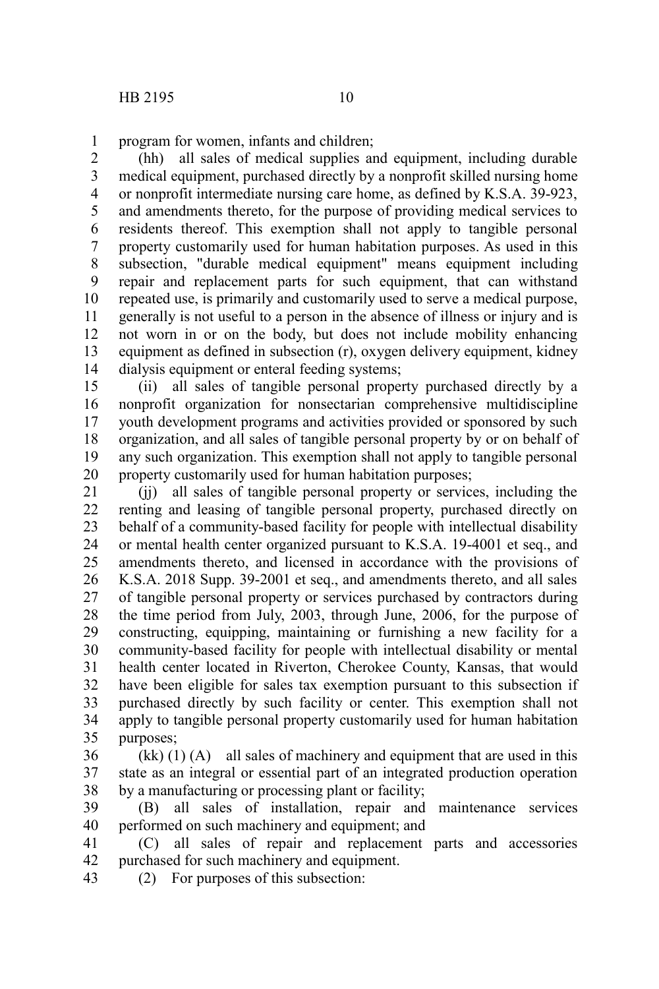program for women, infants and children; 1

(hh) all sales of medical supplies and equipment, including durable medical equipment, purchased directly by a nonprofit skilled nursing home or nonprofit intermediate nursing care home, as defined by K.S.A. 39-923, and amendments thereto, for the purpose of providing medical services to residents thereof. This exemption shall not apply to tangible personal property customarily used for human habitation purposes. As used in this subsection, "durable medical equipment" means equipment including repair and replacement parts for such equipment, that can withstand repeated use, is primarily and customarily used to serve a medical purpose, generally is not useful to a person in the absence of illness or injury and is not worn in or on the body, but does not include mobility enhancing equipment as defined in subsection (r), oxygen delivery equipment, kidney dialysis equipment or enteral feeding systems; 2 3 4 5 6 7 8 9 10 11 12 13 14

(ii) all sales of tangible personal property purchased directly by a nonprofit organization for nonsectarian comprehensive multidiscipline youth development programs and activities provided or sponsored by such organization, and all sales of tangible personal property by or on behalf of any such organization. This exemption shall not apply to tangible personal property customarily used for human habitation purposes; 15 16 17 18 19 20

(jj) all sales of tangible personal property or services, including the renting and leasing of tangible personal property, purchased directly on behalf of a community-based facility for people with intellectual disability or mental health center organized pursuant to K.S.A. 19-4001 et seq., and amendments thereto, and licensed in accordance with the provisions of K.S.A. 2018 Supp. 39-2001 et seq., and amendments thereto, and all sales of tangible personal property or services purchased by contractors during the time period from July, 2003, through June, 2006, for the purpose of constructing, equipping, maintaining or furnishing a new facility for a community-based facility for people with intellectual disability or mental health center located in Riverton, Cherokee County, Kansas, that would have been eligible for sales tax exemption pursuant to this subsection if purchased directly by such facility or center. This exemption shall not apply to tangible personal property customarily used for human habitation purposes; 21 22 23 24 25 26 27 28 29 30 31 32 33 34 35

 $(kk)$  (1) (A) all sales of machinery and equipment that are used in this state as an integral or essential part of an integrated production operation by a manufacturing or processing plant or facility; 36 37 38

(B) all sales of installation, repair and maintenance services performed on such machinery and equipment; and 39 40

(C) all sales of repair and replacement parts and accessories purchased for such machinery and equipment. 41 42

(2) For purposes of this subsection: 43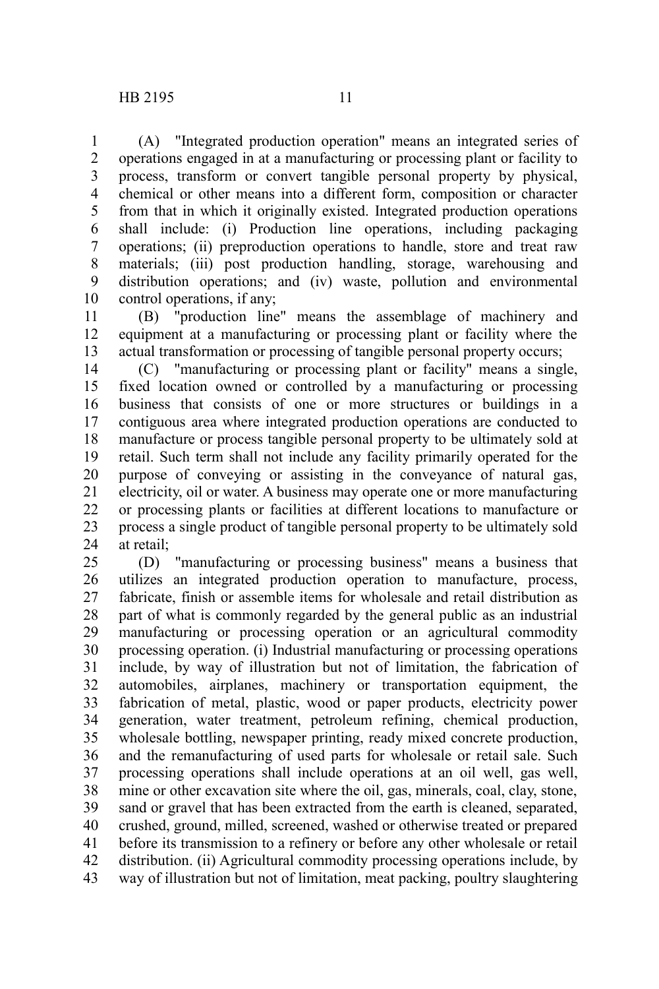(A) "Integrated production operation" means an integrated series of operations engaged in at a manufacturing or processing plant or facility to process, transform or convert tangible personal property by physical, chemical or other means into a different form, composition or character from that in which it originally existed. Integrated production operations shall include: (i) Production line operations, including packaging operations; (ii) preproduction operations to handle, store and treat raw materials; (iii) post production handling, storage, warehousing and distribution operations; and (iv) waste, pollution and environmental control operations, if any; 1 2 3 4 5 6 7 8 9 10

(B) "production line" means the assemblage of machinery and equipment at a manufacturing or processing plant or facility where the actual transformation or processing of tangible personal property occurs; 11 12 13

(C) "manufacturing or processing plant or facility" means a single, fixed location owned or controlled by a manufacturing or processing business that consists of one or more structures or buildings in a contiguous area where integrated production operations are conducted to manufacture or process tangible personal property to be ultimately sold at retail. Such term shall not include any facility primarily operated for the purpose of conveying or assisting in the conveyance of natural gas, electricity, oil or water. A business may operate one or more manufacturing or processing plants or facilities at different locations to manufacture or process a single product of tangible personal property to be ultimately sold at retail; 14 15 16 17 18 19 20 21 22 23 24

(D) "manufacturing or processing business" means a business that utilizes an integrated production operation to manufacture, process, fabricate, finish or assemble items for wholesale and retail distribution as part of what is commonly regarded by the general public as an industrial manufacturing or processing operation or an agricultural commodity processing operation. (i) Industrial manufacturing or processing operations include, by way of illustration but not of limitation, the fabrication of automobiles, airplanes, machinery or transportation equipment, the fabrication of metal, plastic, wood or paper products, electricity power generation, water treatment, petroleum refining, chemical production, wholesale bottling, newspaper printing, ready mixed concrete production, and the remanufacturing of used parts for wholesale or retail sale. Such processing operations shall include operations at an oil well, gas well, mine or other excavation site where the oil, gas, minerals, coal, clay, stone, sand or gravel that has been extracted from the earth is cleaned, separated, crushed, ground, milled, screened, washed or otherwise treated or prepared before its transmission to a refinery or before any other wholesale or retail distribution. (ii) Agricultural commodity processing operations include, by way of illustration but not of limitation, meat packing, poultry slaughtering 25 26 27 28 29 30 31 32 33 34 35 36 37 38 39 40 41 42 43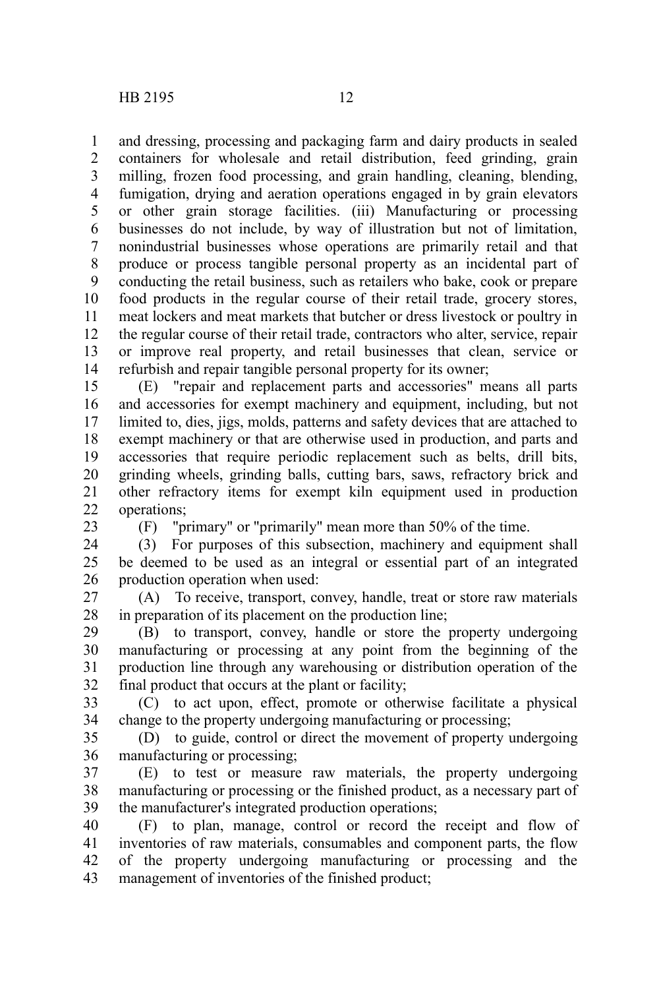and dressing, processing and packaging farm and dairy products in sealed containers for wholesale and retail distribution, feed grinding, grain milling, frozen food processing, and grain handling, cleaning, blending, fumigation, drying and aeration operations engaged in by grain elevators or other grain storage facilities. (iii) Manufacturing or processing businesses do not include, by way of illustration but not of limitation, nonindustrial businesses whose operations are primarily retail and that produce or process tangible personal property as an incidental part of conducting the retail business, such as retailers who bake, cook or prepare food products in the regular course of their retail trade, grocery stores, meat lockers and meat markets that butcher or dress livestock or poultry in the regular course of their retail trade, contractors who alter, service, repair or improve real property, and retail businesses that clean, service or refurbish and repair tangible personal property for its owner; 1 2 3 4 5 6 7 8 9 10 11 12 13 14

(E) "repair and replacement parts and accessories" means all parts and accessories for exempt machinery and equipment, including, but not limited to, dies, jigs, molds, patterns and safety devices that are attached to exempt machinery or that are otherwise used in production, and parts and accessories that require periodic replacement such as belts, drill bits, grinding wheels, grinding balls, cutting bars, saws, refractory brick and other refractory items for exempt kiln equipment used in production operations; 15 16 17 18 19 20 21 22

23

(F) "primary" or "primarily" mean more than 50% of the time.

(3) For purposes of this subsection, machinery and equipment shall be deemed to be used as an integral or essential part of an integrated production operation when used: 24 25 26

(A) To receive, transport, convey, handle, treat or store raw materials in preparation of its placement on the production line; 27 28

(B) to transport, convey, handle or store the property undergoing manufacturing or processing at any point from the beginning of the production line through any warehousing or distribution operation of the final product that occurs at the plant or facility; 29 30 31 32

(C) to act upon, effect, promote or otherwise facilitate a physical change to the property undergoing manufacturing or processing; 33 34

(D) to guide, control or direct the movement of property undergoing manufacturing or processing; 35 36

(E) to test or measure raw materials, the property undergoing manufacturing or processing or the finished product, as a necessary part of the manufacturer's integrated production operations; 37 38 39

(F) to plan, manage, control or record the receipt and flow of inventories of raw materials, consumables and component parts, the flow of the property undergoing manufacturing or processing and the management of inventories of the finished product; 40 41 42 43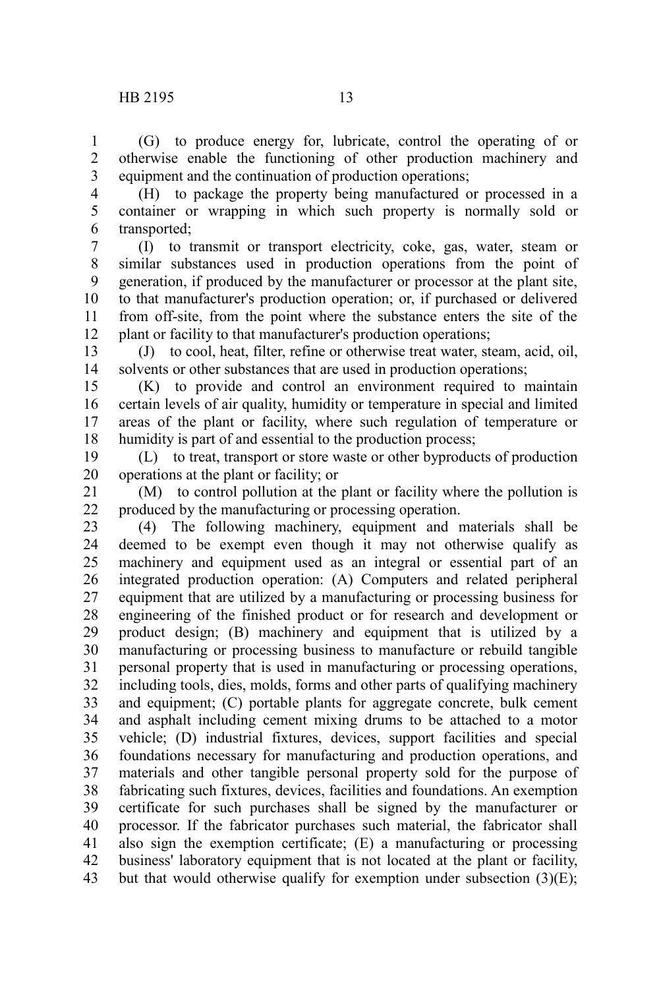(G) to produce energy for, lubricate, control the operating of or otherwise enable the functioning of other production machinery and equipment and the continuation of production operations; 1 2 3

(H) to package the property being manufactured or processed in a container or wrapping in which such property is normally sold or transported; 4 5 6

(I) to transmit or transport electricity, coke, gas, water, steam or similar substances used in production operations from the point of generation, if produced by the manufacturer or processor at the plant site, to that manufacturer's production operation; or, if purchased or delivered from off-site, from the point where the substance enters the site of the plant or facility to that manufacturer's production operations; 7 8 9 10 11 12

(J) to cool, heat, filter, refine or otherwise treat water, steam, acid, oil, solvents or other substances that are used in production operations; 13 14

(K) to provide and control an environment required to maintain certain levels of air quality, humidity or temperature in special and limited areas of the plant or facility, where such regulation of temperature or humidity is part of and essential to the production process; 15 16 17 18

(L) to treat, transport or store waste or other byproducts of production operations at the plant or facility; or 19 20

(M) to control pollution at the plant or facility where the pollution is produced by the manufacturing or processing operation. 21 22

(4) The following machinery, equipment and materials shall be deemed to be exempt even though it may not otherwise qualify as machinery and equipment used as an integral or essential part of an integrated production operation: (A) Computers and related peripheral equipment that are utilized by a manufacturing or processing business for engineering of the finished product or for research and development or product design; (B) machinery and equipment that is utilized by a manufacturing or processing business to manufacture or rebuild tangible personal property that is used in manufacturing or processing operations, including tools, dies, molds, forms and other parts of qualifying machinery and equipment; (C) portable plants for aggregate concrete, bulk cement and asphalt including cement mixing drums to be attached to a motor vehicle; (D) industrial fixtures, devices, support facilities and special foundations necessary for manufacturing and production operations, and materials and other tangible personal property sold for the purpose of fabricating such fixtures, devices, facilities and foundations. An exemption certificate for such purchases shall be signed by the manufacturer or processor. If the fabricator purchases such material, the fabricator shall also sign the exemption certificate; (E) a manufacturing or processing business' laboratory equipment that is not located at the plant or facility, but that would otherwise qualify for exemption under subsection  $(3)(E)$ ; 23 24 25 26 27 28 29 30 31 32 33 34 35 36 37 38 39 40 41 42 43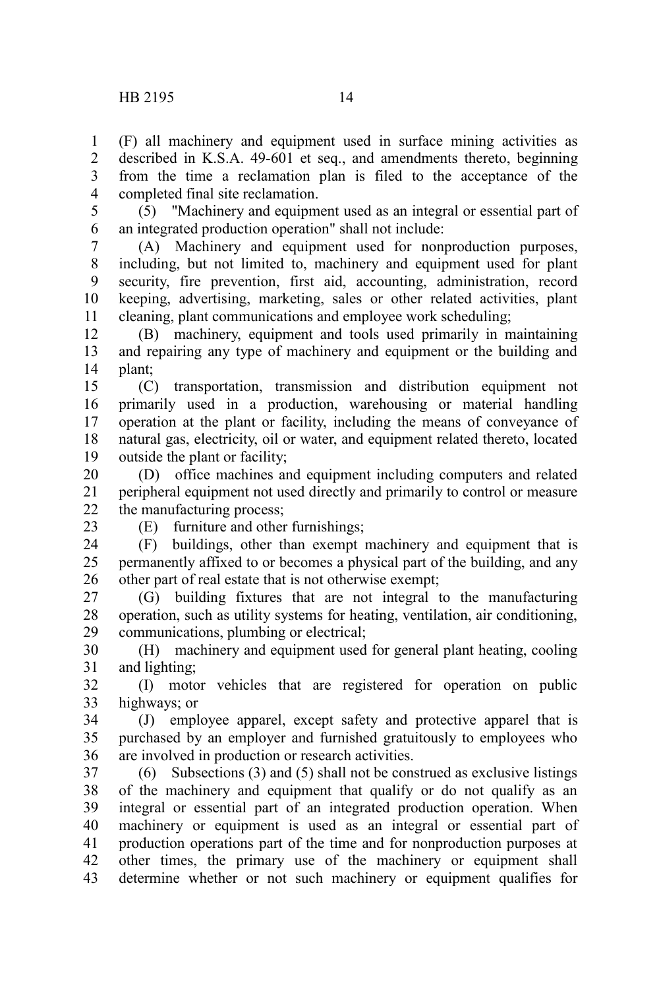(F) all machinery and equipment used in surface mining activities as described in K.S.A. 49-601 et seq., and amendments thereto, beginning from the time a reclamation plan is filed to the acceptance of the completed final site reclamation. 1 2 3 4

(5) "Machinery and equipment used as an integral or essential part of an integrated production operation" shall not include: 5 6

(A) Machinery and equipment used for nonproduction purposes, including, but not limited to, machinery and equipment used for plant security, fire prevention, first aid, accounting, administration, record keeping, advertising, marketing, sales or other related activities, plant cleaning, plant communications and employee work scheduling; 7 8 9 10 11

(B) machinery, equipment and tools used primarily in maintaining and repairing any type of machinery and equipment or the building and plant; 12 13 14

(C) transportation, transmission and distribution equipment not primarily used in a production, warehousing or material handling operation at the plant or facility, including the means of conveyance of natural gas, electricity, oil or water, and equipment related thereto, located outside the plant or facility; 15 16 17 18 19

(D) office machines and equipment including computers and related peripheral equipment not used directly and primarily to control or measure the manufacturing process; 20 21 22

23

(E) furniture and other furnishings;

(F) buildings, other than exempt machinery and equipment that is permanently affixed to or becomes a physical part of the building, and any other part of real estate that is not otherwise exempt; 24 25 26

(G) building fixtures that are not integral to the manufacturing operation, such as utility systems for heating, ventilation, air conditioning, communications, plumbing or electrical; 27 28 29

(H) machinery and equipment used for general plant heating, cooling and lighting; 30 31

(I) motor vehicles that are registered for operation on public highways; or 32 33

(J) employee apparel, except safety and protective apparel that is purchased by an employer and furnished gratuitously to employees who are involved in production or research activities. 34 35 36

(6) Subsections (3) and (5) shall not be construed as exclusive listings of the machinery and equipment that qualify or do not qualify as an integral or essential part of an integrated production operation. When machinery or equipment is used as an integral or essential part of production operations part of the time and for nonproduction purposes at other times, the primary use of the machinery or equipment shall determine whether or not such machinery or equipment qualifies for 37 38 39 40 41 42 43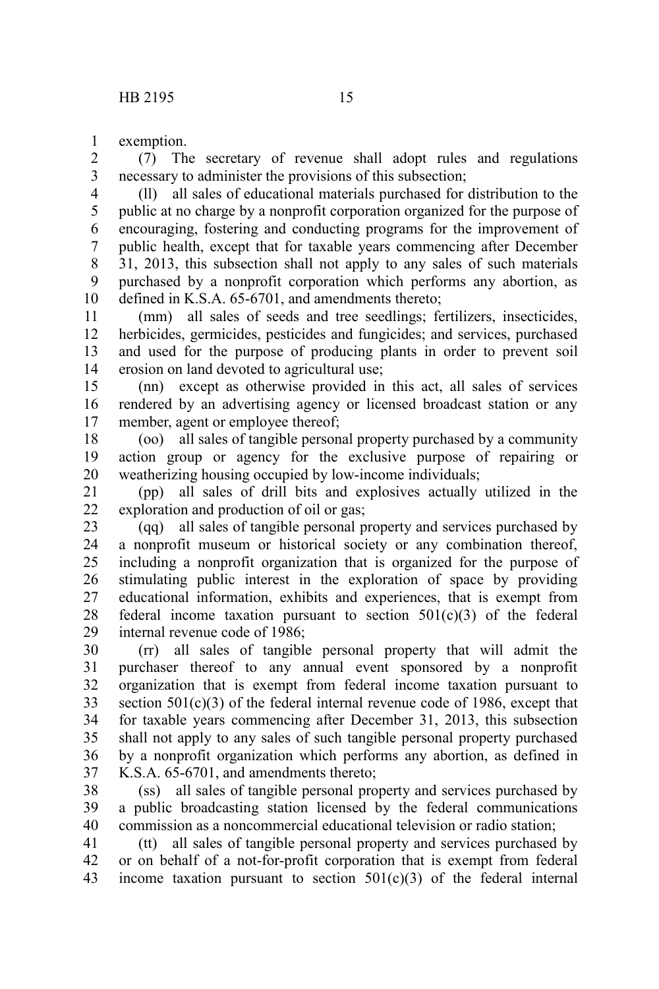exemption. 1

(7) The secretary of revenue shall adopt rules and regulations necessary to administer the provisions of this subsection; 2 3

(ll) all sales of educational materials purchased for distribution to the public at no charge by a nonprofit corporation organized for the purpose of encouraging, fostering and conducting programs for the improvement of public health, except that for taxable years commencing after December 31, 2013, this subsection shall not apply to any sales of such materials purchased by a nonprofit corporation which performs any abortion, as defined in K.S.A. 65-6701, and amendments thereto; 4 5 6 7 8 9 10

(mm) all sales of seeds and tree seedlings; fertilizers, insecticides, herbicides, germicides, pesticides and fungicides; and services, purchased and used for the purpose of producing plants in order to prevent soil erosion on land devoted to agricultural use; 11 12 13 14

(nn) except as otherwise provided in this act, all sales of services rendered by an advertising agency or licensed broadcast station or any member, agent or employee thereof; 15 16 17

(oo) all sales of tangible personal property purchased by a community action group or agency for the exclusive purpose of repairing or weatherizing housing occupied by low-income individuals; 18 19 20

(pp) all sales of drill bits and explosives actually utilized in the exploration and production of oil or gas; 21 22

(qq) all sales of tangible personal property and services purchased by a nonprofit museum or historical society or any combination thereof, including a nonprofit organization that is organized for the purpose of stimulating public interest in the exploration of space by providing educational information, exhibits and experiences, that is exempt from federal income taxation pursuant to section  $501(c)(3)$  of the federal internal revenue code of 1986; 23 24 25 26 27 28 29

(rr) all sales of tangible personal property that will admit the purchaser thereof to any annual event sponsored by a nonprofit organization that is exempt from federal income taxation pursuant to section  $501(c)(3)$  of the federal internal revenue code of 1986, except that for taxable years commencing after December 31, 2013, this subsection shall not apply to any sales of such tangible personal property purchased by a nonprofit organization which performs any abortion, as defined in K.S.A. 65-6701, and amendments thereto; 30 31 32 33 34 35 36 37

(ss) all sales of tangible personal property and services purchased by a public broadcasting station licensed by the federal communications commission as a noncommercial educational television or radio station; 38 39 40

(tt) all sales of tangible personal property and services purchased by or on behalf of a not-for-profit corporation that is exempt from federal income taxation pursuant to section  $501(c)(3)$  of the federal internal 41 42 43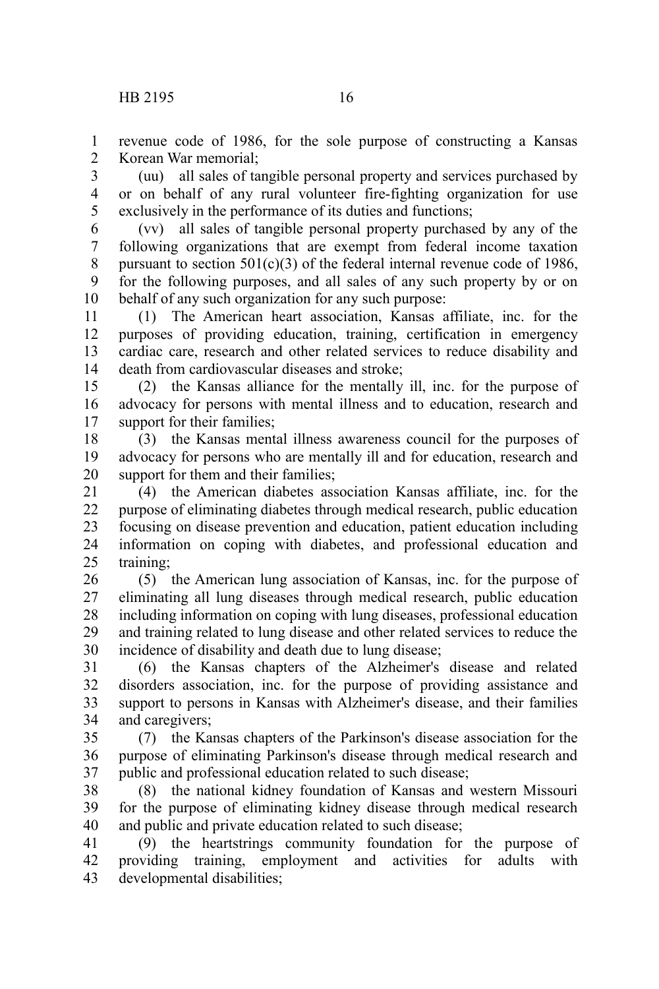revenue code of 1986, for the sole purpose of constructing a Kansas Korean War memorial; 1  $\mathcal{L}$ 

(uu) all sales of tangible personal property and services purchased by or on behalf of any rural volunteer fire-fighting organization for use exclusively in the performance of its duties and functions; 3 4 5

(vv) all sales of tangible personal property purchased by any of the following organizations that are exempt from federal income taxation pursuant to section  $501(c)(3)$  of the federal internal revenue code of 1986, for the following purposes, and all sales of any such property by or on behalf of any such organization for any such purpose: 6 7 8 9 10

(1) The American heart association, Kansas affiliate, inc. for the purposes of providing education, training, certification in emergency cardiac care, research and other related services to reduce disability and death from cardiovascular diseases and stroke; 11 12 13 14

(2) the Kansas alliance for the mentally ill, inc. for the purpose of advocacy for persons with mental illness and to education, research and support for their families; 15 16 17

(3) the Kansas mental illness awareness council for the purposes of advocacy for persons who are mentally ill and for education, research and support for them and their families: 18 19 20

(4) the American diabetes association Kansas affiliate, inc. for the purpose of eliminating diabetes through medical research, public education focusing on disease prevention and education, patient education including information on coping with diabetes, and professional education and training; 21 22 23 24 25

(5) the American lung association of Kansas, inc. for the purpose of eliminating all lung diseases through medical research, public education including information on coping with lung diseases, professional education and training related to lung disease and other related services to reduce the incidence of disability and death due to lung disease; 26 27 28 29 30

(6) the Kansas chapters of the Alzheimer's disease and related disorders association, inc. for the purpose of providing assistance and support to persons in Kansas with Alzheimer's disease, and their families and caregivers; 31 32 33 34

(7) the Kansas chapters of the Parkinson's disease association for the purpose of eliminating Parkinson's disease through medical research and public and professional education related to such disease; 35 36 37

(8) the national kidney foundation of Kansas and western Missouri for the purpose of eliminating kidney disease through medical research and public and private education related to such disease; 38 39 40

(9) the heartstrings community foundation for the purpose of providing training, employment and activities for adults with developmental disabilities; 41 42 43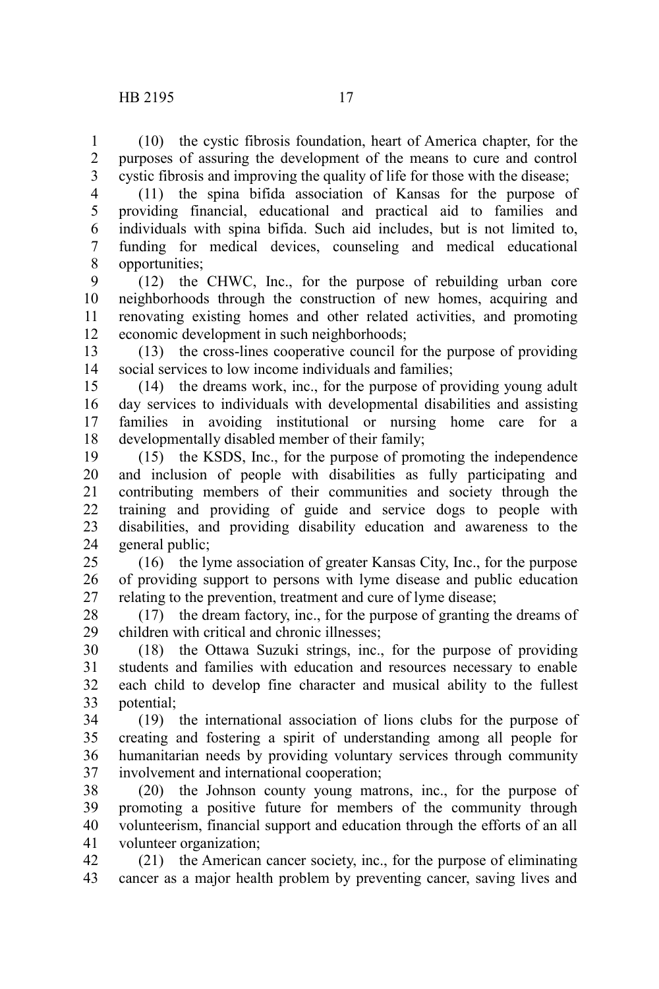(10) the cystic fibrosis foundation, heart of America chapter, for the purposes of assuring the development of the means to cure and control cystic fibrosis and improving the quality of life for those with the disease; 1 2 3

(11) the spina bifida association of Kansas for the purpose of providing financial, educational and practical aid to families and individuals with spina bifida. Such aid includes, but is not limited to, funding for medical devices, counseling and medical educational opportunities; 4 5 6 7 8

(12) the CHWC, Inc., for the purpose of rebuilding urban core neighborhoods through the construction of new homes, acquiring and renovating existing homes and other related activities, and promoting economic development in such neighborhoods; 9 10 11 12

(13) the cross-lines cooperative council for the purpose of providing social services to low income individuals and families; 13 14

(14) the dreams work, inc., for the purpose of providing young adult day services to individuals with developmental disabilities and assisting families in avoiding institutional or nursing home care for a developmentally disabled member of their family; 15 16 17 18

(15) the KSDS, Inc., for the purpose of promoting the independence and inclusion of people with disabilities as fully participating and contributing members of their communities and society through the training and providing of guide and service dogs to people with disabilities, and providing disability education and awareness to the general public; 19 20 21 22 23 24

(16) the lyme association of greater Kansas City, Inc., for the purpose of providing support to persons with lyme disease and public education relating to the prevention, treatment and cure of lyme disease; 25 26 27

(17) the dream factory, inc., for the purpose of granting the dreams of children with critical and chronic illnesses; 28 29

(18) the Ottawa Suzuki strings, inc., for the purpose of providing students and families with education and resources necessary to enable each child to develop fine character and musical ability to the fullest potential; 30 31 32 33

(19) the international association of lions clubs for the purpose of creating and fostering a spirit of understanding among all people for humanitarian needs by providing voluntary services through community involvement and international cooperation; 34 35 36 37

(20) the Johnson county young matrons, inc., for the purpose of promoting a positive future for members of the community through volunteerism, financial support and education through the efforts of an all volunteer organization; 38 39 40 41

(21) the American cancer society, inc., for the purpose of eliminating cancer as a major health problem by preventing cancer, saving lives and 42 43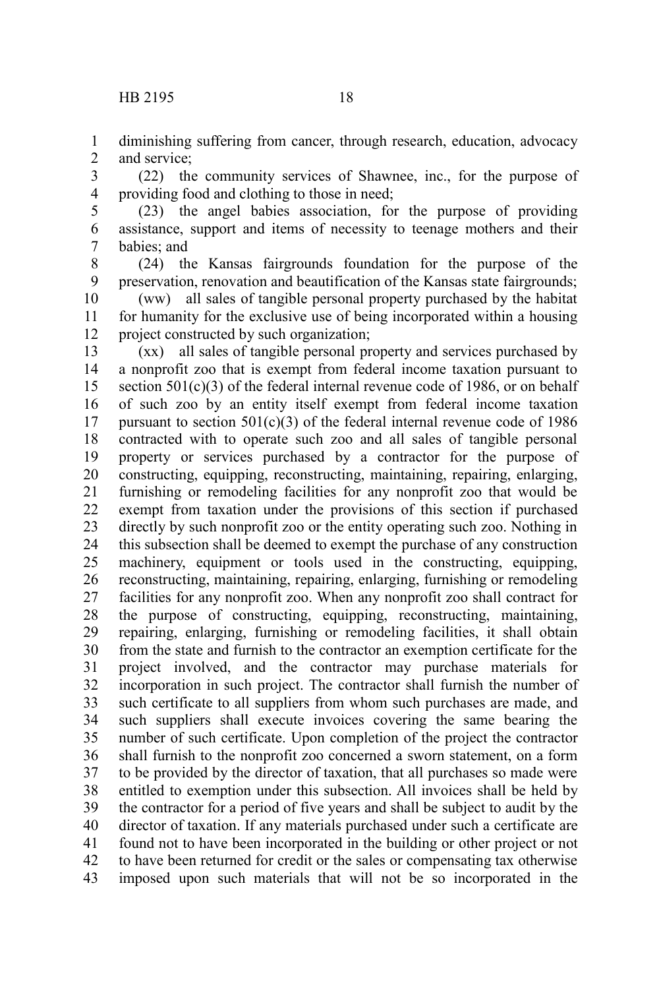diminishing suffering from cancer, through research, education, advocacy and service; 1 2

(22) the community services of Shawnee, inc., for the purpose of providing food and clothing to those in need; 3 4

(23) the angel babies association, for the purpose of providing assistance, support and items of necessity to teenage mothers and their babies; and 5 6 7

(24) the Kansas fairgrounds foundation for the purpose of the preservation, renovation and beautification of the Kansas state fairgrounds; 8 9

(ww) all sales of tangible personal property purchased by the habitat for humanity for the exclusive use of being incorporated within a housing project constructed by such organization; 10 11 12

(xx) all sales of tangible personal property and services purchased by a nonprofit zoo that is exempt from federal income taxation pursuant to section  $501(c)(3)$  of the federal internal revenue code of 1986, or on behalf of such zoo by an entity itself exempt from federal income taxation pursuant to section  $501(c)(3)$  of the federal internal revenue code of 1986 contracted with to operate such zoo and all sales of tangible personal property or services purchased by a contractor for the purpose of constructing, equipping, reconstructing, maintaining, repairing, enlarging, furnishing or remodeling facilities for any nonprofit zoo that would be exempt from taxation under the provisions of this section if purchased directly by such nonprofit zoo or the entity operating such zoo. Nothing in this subsection shall be deemed to exempt the purchase of any construction machinery, equipment or tools used in the constructing, equipping, reconstructing, maintaining, repairing, enlarging, furnishing or remodeling facilities for any nonprofit zoo. When any nonprofit zoo shall contract for the purpose of constructing, equipping, reconstructing, maintaining, repairing, enlarging, furnishing or remodeling facilities, it shall obtain from the state and furnish to the contractor an exemption certificate for the project involved, and the contractor may purchase materials for incorporation in such project. The contractor shall furnish the number of such certificate to all suppliers from whom such purchases are made, and such suppliers shall execute invoices covering the same bearing the number of such certificate. Upon completion of the project the contractor shall furnish to the nonprofit zoo concerned a sworn statement, on a form to be provided by the director of taxation, that all purchases so made were entitled to exemption under this subsection. All invoices shall be held by the contractor for a period of five years and shall be subject to audit by the director of taxation. If any materials purchased under such a certificate are found not to have been incorporated in the building or other project or not to have been returned for credit or the sales or compensating tax otherwise imposed upon such materials that will not be so incorporated in the 13 14 15 16 17 18 19 20 21 22 23 24 25 26 27 28 29 30 31 32 33 34 35 36 37 38 39 40 41 42 43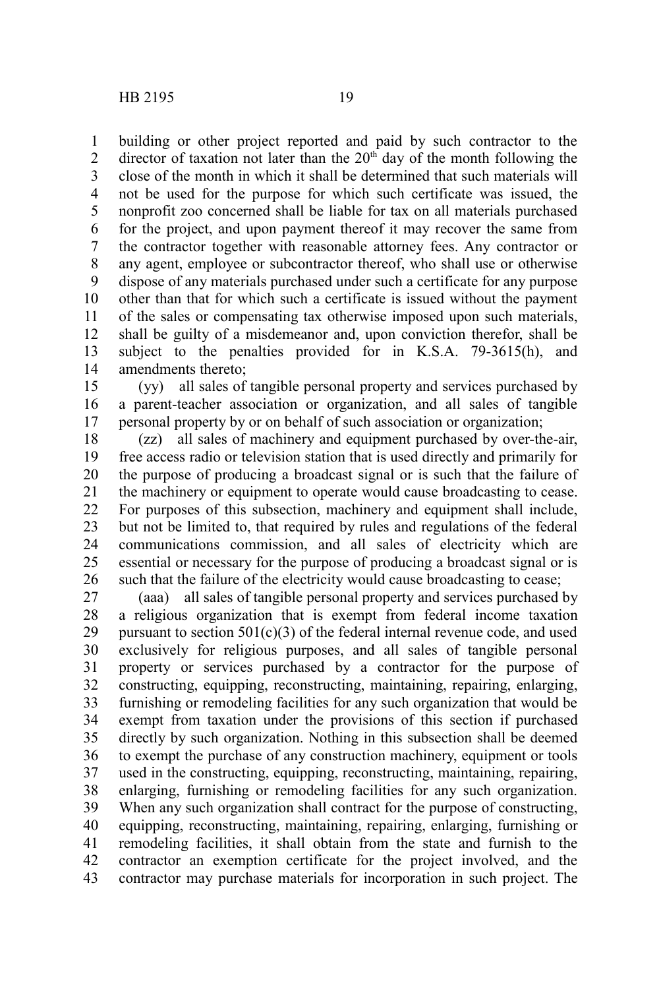building or other project reported and paid by such contractor to the director of taxation not later than the  $20<sup>th</sup>$  day of the month following the close of the month in which it shall be determined that such materials will not be used for the purpose for which such certificate was issued, the nonprofit zoo concerned shall be liable for tax on all materials purchased for the project, and upon payment thereof it may recover the same from the contractor together with reasonable attorney fees. Any contractor or any agent, employee or subcontractor thereof, who shall use or otherwise dispose of any materials purchased under such a certificate for any purpose other than that for which such a certificate is issued without the payment of the sales or compensating tax otherwise imposed upon such materials, shall be guilty of a misdemeanor and, upon conviction therefor, shall be subject to the penalties provided for in K.S.A. 79-3615(h), and amendments thereto; 1 2 3 4 5 6 7 8 9 10 11 12 13 14

(yy) all sales of tangible personal property and services purchased by a parent-teacher association or organization, and all sales of tangible personal property by or on behalf of such association or organization; 15 16 17

(zz) all sales of machinery and equipment purchased by over-the-air, free access radio or television station that is used directly and primarily for the purpose of producing a broadcast signal or is such that the failure of the machinery or equipment to operate would cause broadcasting to cease. For purposes of this subsection, machinery and equipment shall include, but not be limited to, that required by rules and regulations of the federal communications commission, and all sales of electricity which are essential or necessary for the purpose of producing a broadcast signal or is such that the failure of the electricity would cause broadcasting to cease; 18 19 20 21 22 23 24 25 26

(aaa) all sales of tangible personal property and services purchased by a religious organization that is exempt from federal income taxation pursuant to section  $501(c)(3)$  of the federal internal revenue code, and used exclusively for religious purposes, and all sales of tangible personal property or services purchased by a contractor for the purpose of constructing, equipping, reconstructing, maintaining, repairing, enlarging, furnishing or remodeling facilities for any such organization that would be exempt from taxation under the provisions of this section if purchased directly by such organization. Nothing in this subsection shall be deemed to exempt the purchase of any construction machinery, equipment or tools used in the constructing, equipping, reconstructing, maintaining, repairing, enlarging, furnishing or remodeling facilities for any such organization. When any such organization shall contract for the purpose of constructing, equipping, reconstructing, maintaining, repairing, enlarging, furnishing or remodeling facilities, it shall obtain from the state and furnish to the contractor an exemption certificate for the project involved, and the contractor may purchase materials for incorporation in such project. The 27 28 29 30 31 32 33 34 35 36 37 38 39 40 41 42 43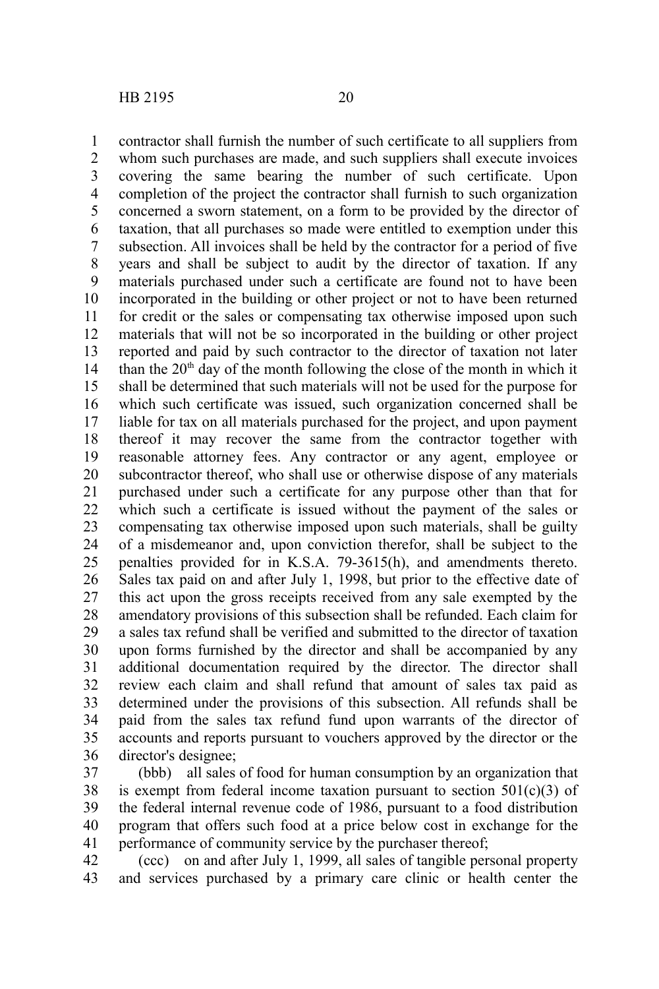contractor shall furnish the number of such certificate to all suppliers from whom such purchases are made, and such suppliers shall execute invoices covering the same bearing the number of such certificate. Upon completion of the project the contractor shall furnish to such organization concerned a sworn statement, on a form to be provided by the director of taxation, that all purchases so made were entitled to exemption under this subsection. All invoices shall be held by the contractor for a period of five years and shall be subject to audit by the director of taxation. If any materials purchased under such a certificate are found not to have been incorporated in the building or other project or not to have been returned for credit or the sales or compensating tax otherwise imposed upon such materials that will not be so incorporated in the building or other project reported and paid by such contractor to the director of taxation not later than the  $20<sup>th</sup>$  day of the month following the close of the month in which it shall be determined that such materials will not be used for the purpose for which such certificate was issued, such organization concerned shall be liable for tax on all materials purchased for the project, and upon payment thereof it may recover the same from the contractor together with reasonable attorney fees. Any contractor or any agent, employee or subcontractor thereof, who shall use or otherwise dispose of any materials purchased under such a certificate for any purpose other than that for which such a certificate is issued without the payment of the sales or compensating tax otherwise imposed upon such materials, shall be guilty of a misdemeanor and, upon conviction therefor, shall be subject to the penalties provided for in K.S.A. 79-3615(h), and amendments thereto. Sales tax paid on and after July 1, 1998, but prior to the effective date of this act upon the gross receipts received from any sale exempted by the amendatory provisions of this subsection shall be refunded. Each claim for a sales tax refund shall be verified and submitted to the director of taxation upon forms furnished by the director and shall be accompanied by any additional documentation required by the director. The director shall review each claim and shall refund that amount of sales tax paid as determined under the provisions of this subsection. All refunds shall be paid from the sales tax refund fund upon warrants of the director of accounts and reports pursuant to vouchers approved by the director or the director's designee; 1 2 3 4 5 6 7 8 9 10 11 12 13 14 15 16 17 18 19 20 21 22 23 24 25 26 27 28 29 30 31 32 33 34 35 36

(bbb) all sales of food for human consumption by an organization that is exempt from federal income taxation pursuant to section  $501(c)(3)$  of the federal internal revenue code of 1986, pursuant to a food distribution program that offers such food at a price below cost in exchange for the performance of community service by the purchaser thereof; 37 38 39 40 41

(ccc) on and after July 1, 1999, all sales of tangible personal property and services purchased by a primary care clinic or health center the 42 43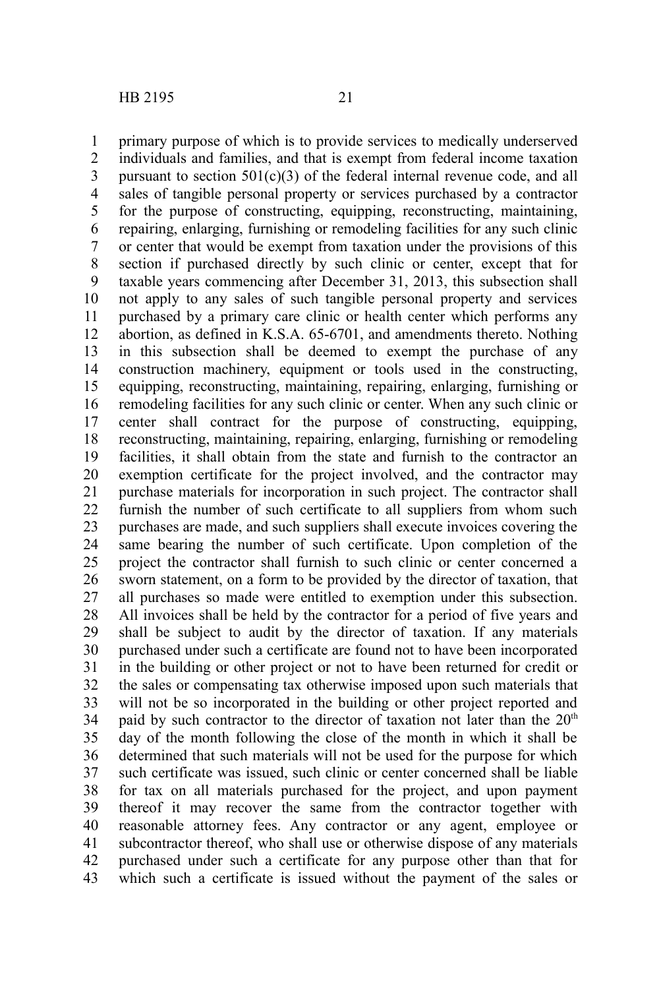primary purpose of which is to provide services to medically underserved individuals and families, and that is exempt from federal income taxation pursuant to section  $501(c)(3)$  of the federal internal revenue code, and all sales of tangible personal property or services purchased by a contractor for the purpose of constructing, equipping, reconstructing, maintaining, repairing, enlarging, furnishing or remodeling facilities for any such clinic or center that would be exempt from taxation under the provisions of this section if purchased directly by such clinic or center, except that for taxable years commencing after December 31, 2013, this subsection shall not apply to any sales of such tangible personal property and services purchased by a primary care clinic or health center which performs any abortion, as defined in K.S.A. 65-6701, and amendments thereto. Nothing in this subsection shall be deemed to exempt the purchase of any construction machinery, equipment or tools used in the constructing, equipping, reconstructing, maintaining, repairing, enlarging, furnishing or remodeling facilities for any such clinic or center. When any such clinic or center shall contract for the purpose of constructing, equipping, reconstructing, maintaining, repairing, enlarging, furnishing or remodeling facilities, it shall obtain from the state and furnish to the contractor an exemption certificate for the project involved, and the contractor may purchase materials for incorporation in such project. The contractor shall furnish the number of such certificate to all suppliers from whom such purchases are made, and such suppliers shall execute invoices covering the same bearing the number of such certificate. Upon completion of the project the contractor shall furnish to such clinic or center concerned a sworn statement, on a form to be provided by the director of taxation, that all purchases so made were entitled to exemption under this subsection. All invoices shall be held by the contractor for a period of five years and shall be subject to audit by the director of taxation. If any materials purchased under such a certificate are found not to have been incorporated in the building or other project or not to have been returned for credit or the sales or compensating tax otherwise imposed upon such materials that will not be so incorporated in the building or other project reported and paid by such contractor to the director of taxation not later than the  $20<sup>th</sup>$ day of the month following the close of the month in which it shall be determined that such materials will not be used for the purpose for which such certificate was issued, such clinic or center concerned shall be liable for tax on all materials purchased for the project, and upon payment thereof it may recover the same from the contractor together with reasonable attorney fees. Any contractor or any agent, employee or subcontractor thereof, who shall use or otherwise dispose of any materials purchased under such a certificate for any purpose other than that for which such a certificate is issued without the payment of the sales or 1 2 3 4 5 6 7 8 9 10 11 12 13 14 15 16 17 18 19 20 21 22 23 24 25 26 27 28 29 30 31 32 33 34 35 36 37 38 39 40 41 42 43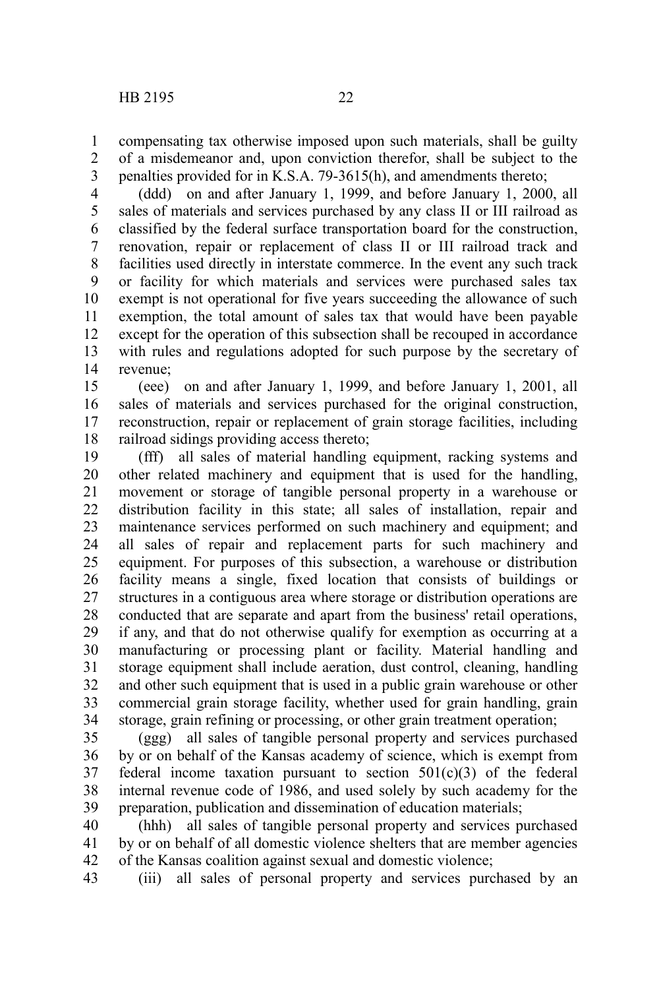1

of a misdemeanor and, upon conviction therefor, shall be subject to the penalties provided for in K.S.A. 79-3615(h), and amendments thereto; 2 3

(ddd) on and after January 1, 1999, and before January 1, 2000, all sales of materials and services purchased by any class II or III railroad as classified by the federal surface transportation board for the construction, renovation, repair or replacement of class II or III railroad track and facilities used directly in interstate commerce. In the event any such track or facility for which materials and services were purchased sales tax exempt is not operational for five years succeeding the allowance of such exemption, the total amount of sales tax that would have been payable except for the operation of this subsection shall be recouped in accordance with rules and regulations adopted for such purpose by the secretary of revenue; 4 5 6 7 8 9 10 11 12 13 14

(eee) on and after January 1, 1999, and before January 1, 2001, all sales of materials and services purchased for the original construction, reconstruction, repair or replacement of grain storage facilities, including railroad sidings providing access thereto; 15 16 17 18

(fff) all sales of material handling equipment, racking systems and other related machinery and equipment that is used for the handling, movement or storage of tangible personal property in a warehouse or distribution facility in this state; all sales of installation, repair and maintenance services performed on such machinery and equipment; and all sales of repair and replacement parts for such machinery and equipment. For purposes of this subsection, a warehouse or distribution facility means a single, fixed location that consists of buildings or structures in a contiguous area where storage or distribution operations are conducted that are separate and apart from the business' retail operations, if any, and that do not otherwise qualify for exemption as occurring at a manufacturing or processing plant or facility. Material handling and storage equipment shall include aeration, dust control, cleaning, handling and other such equipment that is used in a public grain warehouse or other commercial grain storage facility, whether used for grain handling, grain storage, grain refining or processing, or other grain treatment operation; 19 20 21 22 23 24 25 26 27 28 29 30 31 32 33 34

(ggg) all sales of tangible personal property and services purchased by or on behalf of the Kansas academy of science, which is exempt from federal income taxation pursuant to section  $501(c)(3)$  of the federal internal revenue code of 1986, and used solely by such academy for the preparation, publication and dissemination of education materials; 35 36 37 38 39

(hhh) all sales of tangible personal property and services purchased by or on behalf of all domestic violence shelters that are member agencies of the Kansas coalition against sexual and domestic violence; 40 41 42

(iii) all sales of personal property and services purchased by an 43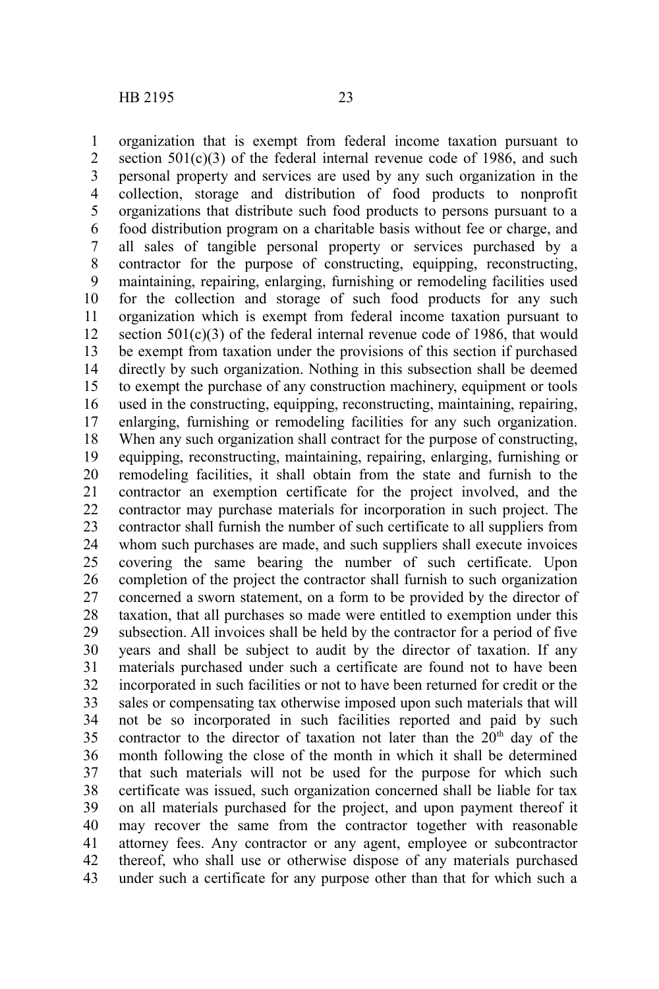organization that is exempt from federal income taxation pursuant to section  $501(c)(3)$  of the federal internal revenue code of 1986, and such personal property and services are used by any such organization in the collection, storage and distribution of food products to nonprofit organizations that distribute such food products to persons pursuant to a food distribution program on a charitable basis without fee or charge, and all sales of tangible personal property or services purchased by a contractor for the purpose of constructing, equipping, reconstructing, maintaining, repairing, enlarging, furnishing or remodeling facilities used for the collection and storage of such food products for any such organization which is exempt from federal income taxation pursuant to section  $501(c)(3)$  of the federal internal revenue code of 1986, that would be exempt from taxation under the provisions of this section if purchased directly by such organization. Nothing in this subsection shall be deemed to exempt the purchase of any construction machinery, equipment or tools used in the constructing, equipping, reconstructing, maintaining, repairing, enlarging, furnishing or remodeling facilities for any such organization. When any such organization shall contract for the purpose of constructing, equipping, reconstructing, maintaining, repairing, enlarging, furnishing or remodeling facilities, it shall obtain from the state and furnish to the contractor an exemption certificate for the project involved, and the contractor may purchase materials for incorporation in such project. The contractor shall furnish the number of such certificate to all suppliers from whom such purchases are made, and such suppliers shall execute invoices covering the same bearing the number of such certificate. Upon completion of the project the contractor shall furnish to such organization concerned a sworn statement, on a form to be provided by the director of taxation, that all purchases so made were entitled to exemption under this subsection. All invoices shall be held by the contractor for a period of five years and shall be subject to audit by the director of taxation. If any materials purchased under such a certificate are found not to have been incorporated in such facilities or not to have been returned for credit or the sales or compensating tax otherwise imposed upon such materials that will not be so incorporated in such facilities reported and paid by such contractor to the director of taxation not later than the  $20<sup>th</sup>$  day of the month following the close of the month in which it shall be determined that such materials will not be used for the purpose for which such certificate was issued, such organization concerned shall be liable for tax on all materials purchased for the project, and upon payment thereof it may recover the same from the contractor together with reasonable attorney fees. Any contractor or any agent, employee or subcontractor thereof, who shall use or otherwise dispose of any materials purchased under such a certificate for any purpose other than that for which such a 1 2 3 4 5 6 7 8 9 10 11 12 13 14 15 16 17 18 19 20 21 22 23 24 25 26 27 28 29 30 31 32 33 34 35 36 37 38 39 40 41 42 43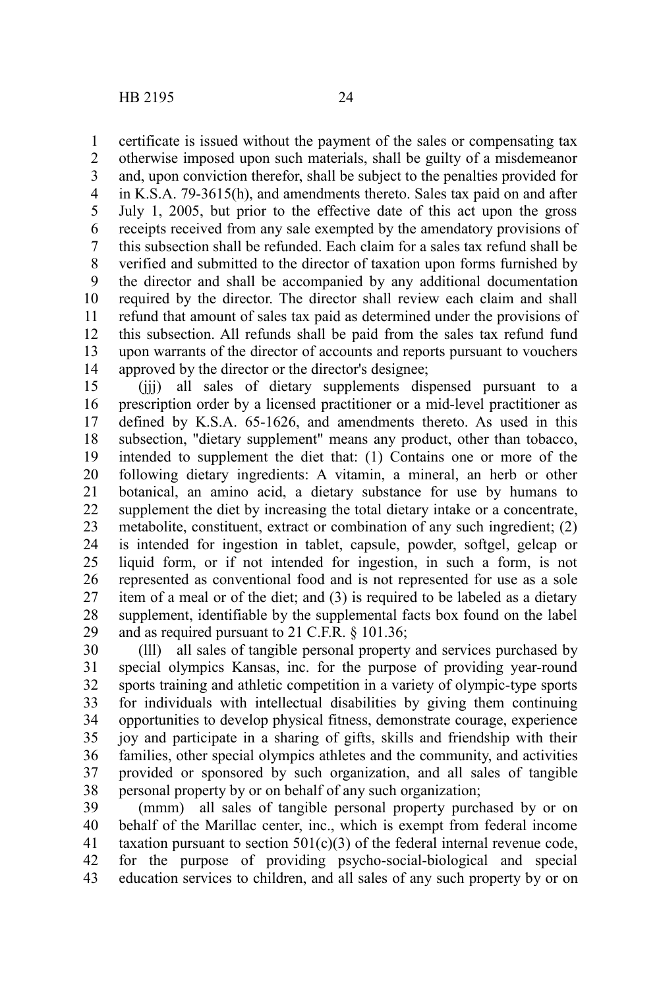certificate is issued without the payment of the sales or compensating tax otherwise imposed upon such materials, shall be guilty of a misdemeanor and, upon conviction therefor, shall be subject to the penalties provided for in K.S.A. 79-3615(h), and amendments thereto. Sales tax paid on and after July 1, 2005, but prior to the effective date of this act upon the gross receipts received from any sale exempted by the amendatory provisions of this subsection shall be refunded. Each claim for a sales tax refund shall be verified and submitted to the director of taxation upon forms furnished by the director and shall be accompanied by any additional documentation required by the director. The director shall review each claim and shall refund that amount of sales tax paid as determined under the provisions of this subsection. All refunds shall be paid from the sales tax refund fund upon warrants of the director of accounts and reports pursuant to vouchers approved by the director or the director's designee; 1 2 3 4 5 6 7 8 9 10 11 12 13 14

(jjj) all sales of dietary supplements dispensed pursuant to a prescription order by a licensed practitioner or a mid-level practitioner as defined by K.S.A. 65-1626, and amendments thereto. As used in this subsection, "dietary supplement" means any product, other than tobacco, intended to supplement the diet that: (1) Contains one or more of the following dietary ingredients: A vitamin, a mineral, an herb or other botanical, an amino acid, a dietary substance for use by humans to supplement the diet by increasing the total dietary intake or a concentrate, metabolite, constituent, extract or combination of any such ingredient; (2) is intended for ingestion in tablet, capsule, powder, softgel, gelcap or liquid form, or if not intended for ingestion, in such a form, is not represented as conventional food and is not represented for use as a sole item of a meal or of the diet; and (3) is required to be labeled as a dietary supplement, identifiable by the supplemental facts box found on the label and as required pursuant to 21 C.F.R. § 101.36; 15 16 17 18 19 20 21 22 23 24 25 26 27 28 29

(lll) all sales of tangible personal property and services purchased by special olympics Kansas, inc. for the purpose of providing year-round sports training and athletic competition in a variety of olympic-type sports for individuals with intellectual disabilities by giving them continuing opportunities to develop physical fitness, demonstrate courage, experience joy and participate in a sharing of gifts, skills and friendship with their families, other special olympics athletes and the community, and activities provided or sponsored by such organization, and all sales of tangible personal property by or on behalf of any such organization; 30 31 32 33 34 35 36 37 38

(mmm) all sales of tangible personal property purchased by or on behalf of the Marillac center, inc., which is exempt from federal income taxation pursuant to section  $501(c)(3)$  of the federal internal revenue code, for the purpose of providing psycho-social-biological and special education services to children, and all sales of any such property by or on 39 40 41 42 43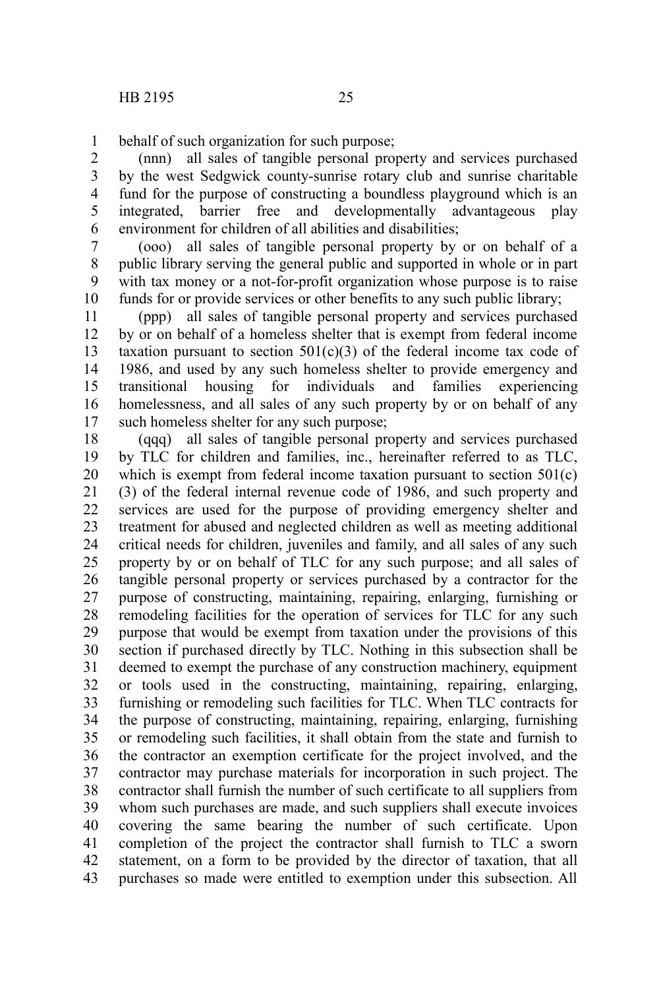behalf of such organization for such purpose; 1

(nnn) all sales of tangible personal property and services purchased by the west Sedgwick county-sunrise rotary club and sunrise charitable fund for the purpose of constructing a boundless playground which is an integrated, barrier free and developmentally advantageous play environment for children of all abilities and disabilities; 2 3 4 5 6

(ooo) all sales of tangible personal property by or on behalf of a public library serving the general public and supported in whole or in part with tax money or a not-for-profit organization whose purpose is to raise funds for or provide services or other benefits to any such public library; 7 8 9 10

(ppp) all sales of tangible personal property and services purchased by or on behalf of a homeless shelter that is exempt from federal income taxation pursuant to section  $501(c)(3)$  of the federal income tax code of 1986, and used by any such homeless shelter to provide emergency and transitional housing for individuals and families experiencing homelessness, and all sales of any such property by or on behalf of any such homeless shelter for any such purpose; 11 12 13 14 15 16 17

(qqq) all sales of tangible personal property and services purchased by TLC for children and families, inc., hereinafter referred to as TLC, which is exempt from federal income taxation pursuant to section 501(c) (3) of the federal internal revenue code of 1986, and such property and services are used for the purpose of providing emergency shelter and treatment for abused and neglected children as well as meeting additional critical needs for children, juveniles and family, and all sales of any such property by or on behalf of TLC for any such purpose; and all sales of tangible personal property or services purchased by a contractor for the purpose of constructing, maintaining, repairing, enlarging, furnishing or remodeling facilities for the operation of services for TLC for any such purpose that would be exempt from taxation under the provisions of this section if purchased directly by TLC. Nothing in this subsection shall be deemed to exempt the purchase of any construction machinery, equipment or tools used in the constructing, maintaining, repairing, enlarging, furnishing or remodeling such facilities for TLC. When TLC contracts for the purpose of constructing, maintaining, repairing, enlarging, furnishing or remodeling such facilities, it shall obtain from the state and furnish to the contractor an exemption certificate for the project involved, and the contractor may purchase materials for incorporation in such project. The contractor shall furnish the number of such certificate to all suppliers from whom such purchases are made, and such suppliers shall execute invoices covering the same bearing the number of such certificate. Upon completion of the project the contractor shall furnish to TLC a sworn statement, on a form to be provided by the director of taxation, that all purchases so made were entitled to exemption under this subsection. All 18 19 20 21 22 23 24 25 26 27 28 29 30 31 32 33 34 35 36 37 38 39 40 41 42 43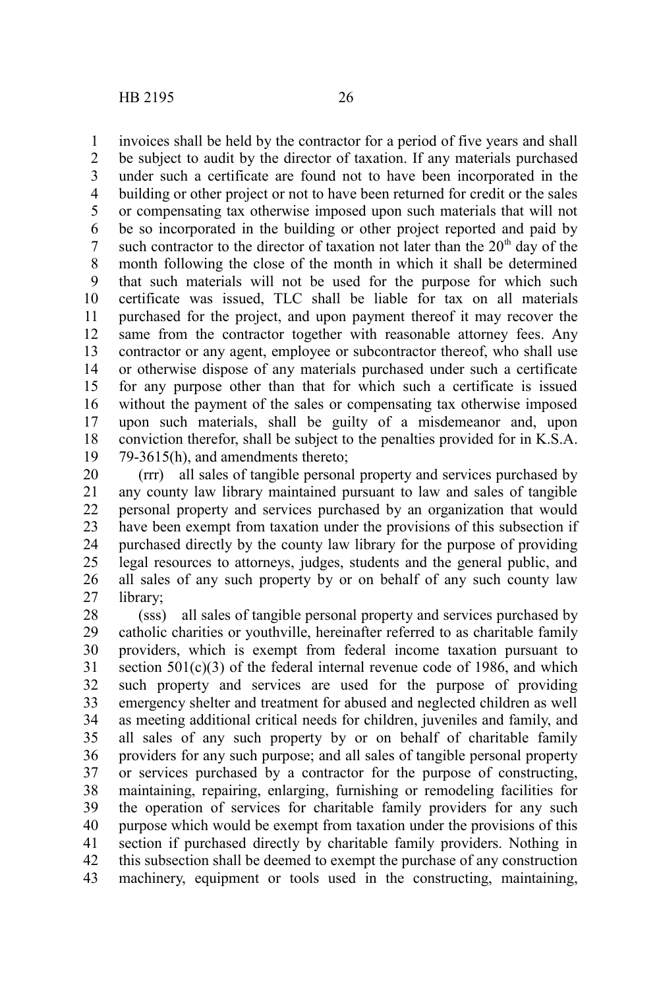invoices shall be held by the contractor for a period of five years and shall be subject to audit by the director of taxation. If any materials purchased under such a certificate are found not to have been incorporated in the building or other project or not to have been returned for credit or the sales or compensating tax otherwise imposed upon such materials that will not be so incorporated in the building or other project reported and paid by such contractor to the director of taxation not later than the  $20<sup>th</sup>$  day of the month following the close of the month in which it shall be determined that such materials will not be used for the purpose for which such certificate was issued, TLC shall be liable for tax on all materials purchased for the project, and upon payment thereof it may recover the same from the contractor together with reasonable attorney fees. Any contractor or any agent, employee or subcontractor thereof, who shall use or otherwise dispose of any materials purchased under such a certificate for any purpose other than that for which such a certificate is issued without the payment of the sales or compensating tax otherwise imposed upon such materials, shall be guilty of a misdemeanor and, upon conviction therefor, shall be subject to the penalties provided for in K.S.A. 79-3615(h), and amendments thereto; 1 2 3 4 5 6 7 8 9 10 11 12 13 14 15 16 17 18 19

(rrr) all sales of tangible personal property and services purchased by any county law library maintained pursuant to law and sales of tangible personal property and services purchased by an organization that would have been exempt from taxation under the provisions of this subsection if purchased directly by the county law library for the purpose of providing legal resources to attorneys, judges, students and the general public, and all sales of any such property by or on behalf of any such county law library; 20 21 22 23 24 25 26 27

(sss) all sales of tangible personal property and services purchased by catholic charities or youthville, hereinafter referred to as charitable family providers, which is exempt from federal income taxation pursuant to section 501(c)(3) of the federal internal revenue code of 1986, and which such property and services are used for the purpose of providing emergency shelter and treatment for abused and neglected children as well as meeting additional critical needs for children, juveniles and family, and all sales of any such property by or on behalf of charitable family providers for any such purpose; and all sales of tangible personal property or services purchased by a contractor for the purpose of constructing, maintaining, repairing, enlarging, furnishing or remodeling facilities for the operation of services for charitable family providers for any such purpose which would be exempt from taxation under the provisions of this section if purchased directly by charitable family providers. Nothing in this subsection shall be deemed to exempt the purchase of any construction machinery, equipment or tools used in the constructing, maintaining, 28 29 30 31 32 33 34 35 36 37 38 39 40 41 42 43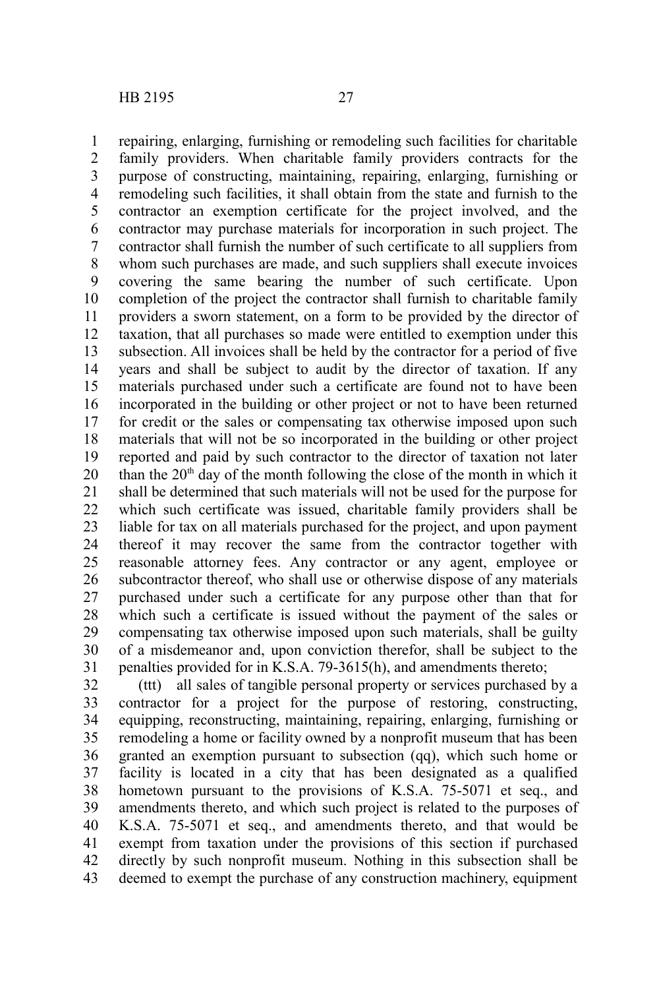repairing, enlarging, furnishing or remodeling such facilities for charitable family providers. When charitable family providers contracts for the purpose of constructing, maintaining, repairing, enlarging, furnishing or remodeling such facilities, it shall obtain from the state and furnish to the contractor an exemption certificate for the project involved, and the contractor may purchase materials for incorporation in such project. The contractor shall furnish the number of such certificate to all suppliers from whom such purchases are made, and such suppliers shall execute invoices covering the same bearing the number of such certificate. Upon completion of the project the contractor shall furnish to charitable family providers a sworn statement, on a form to be provided by the director of taxation, that all purchases so made were entitled to exemption under this subsection. All invoices shall be held by the contractor for a period of five years and shall be subject to audit by the director of taxation. If any materials purchased under such a certificate are found not to have been incorporated in the building or other project or not to have been returned for credit or the sales or compensating tax otherwise imposed upon such materials that will not be so incorporated in the building or other project reported and paid by such contractor to the director of taxation not later than the  $20<sup>th</sup>$  day of the month following the close of the month in which it shall be determined that such materials will not be used for the purpose for which such certificate was issued, charitable family providers shall be liable for tax on all materials purchased for the project, and upon payment thereof it may recover the same from the contractor together with reasonable attorney fees. Any contractor or any agent, employee or subcontractor thereof, who shall use or otherwise dispose of any materials purchased under such a certificate for any purpose other than that for which such a certificate is issued without the payment of the sales or compensating tax otherwise imposed upon such materials, shall be guilty of a misdemeanor and, upon conviction therefor, shall be subject to the penalties provided for in K.S.A. 79-3615(h), and amendments thereto; 1 2 3 4 5 6 7 8 9 10 11 12 13 14 15 16 17 18 19 20 21 22 23 24 25 26 27 28 29 30 31

(ttt) all sales of tangible personal property or services purchased by a contractor for a project for the purpose of restoring, constructing, equipping, reconstructing, maintaining, repairing, enlarging, furnishing or remodeling a home or facility owned by a nonprofit museum that has been granted an exemption pursuant to subsection (qq), which such home or facility is located in a city that has been designated as a qualified hometown pursuant to the provisions of K.S.A. 75-5071 et seq., and amendments thereto, and which such project is related to the purposes of K.S.A. 75-5071 et seq., and amendments thereto, and that would be exempt from taxation under the provisions of this section if purchased directly by such nonprofit museum. Nothing in this subsection shall be deemed to exempt the purchase of any construction machinery, equipment 32 33 34 35 36 37 38 39 40 41 42 43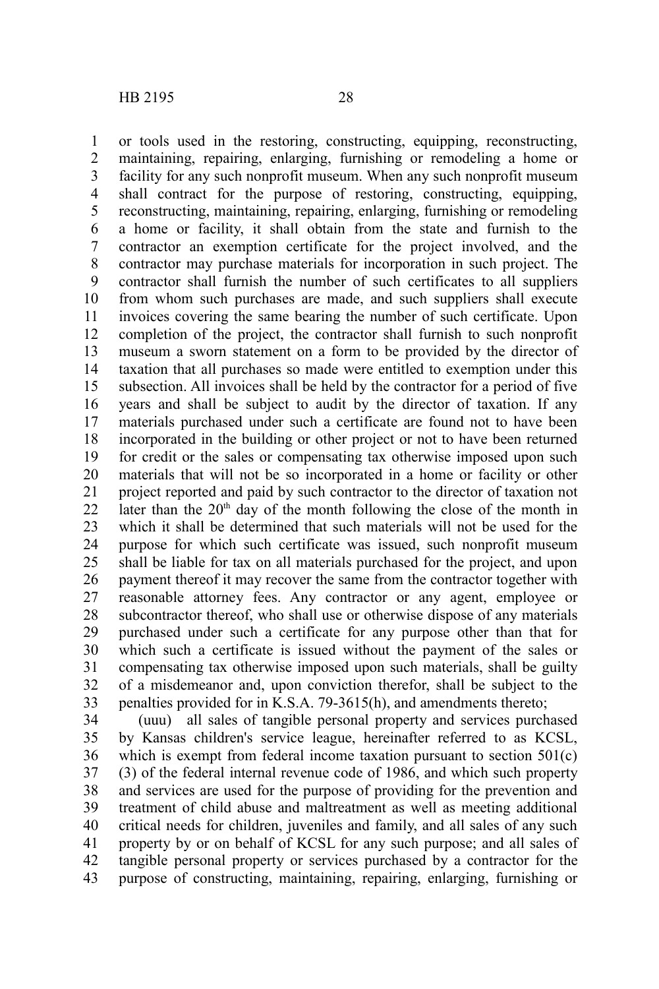or tools used in the restoring, constructing, equipping, reconstructing, maintaining, repairing, enlarging, furnishing or remodeling a home or facility for any such nonprofit museum. When any such nonprofit museum shall contract for the purpose of restoring, constructing, equipping, reconstructing, maintaining, repairing, enlarging, furnishing or remodeling a home or facility, it shall obtain from the state and furnish to the contractor an exemption certificate for the project involved, and the contractor may purchase materials for incorporation in such project. The contractor shall furnish the number of such certificates to all suppliers from whom such purchases are made, and such suppliers shall execute invoices covering the same bearing the number of such certificate. Upon completion of the project, the contractor shall furnish to such nonprofit museum a sworn statement on a form to be provided by the director of taxation that all purchases so made were entitled to exemption under this subsection. All invoices shall be held by the contractor for a period of five years and shall be subject to audit by the director of taxation. If any materials purchased under such a certificate are found not to have been incorporated in the building or other project or not to have been returned for credit or the sales or compensating tax otherwise imposed upon such materials that will not be so incorporated in a home or facility or other project reported and paid by such contractor to the director of taxation not later than the  $20<sup>th</sup>$  day of the month following the close of the month in which it shall be determined that such materials will not be used for the purpose for which such certificate was issued, such nonprofit museum shall be liable for tax on all materials purchased for the project, and upon payment thereof it may recover the same from the contractor together with reasonable attorney fees. Any contractor or any agent, employee or subcontractor thereof, who shall use or otherwise dispose of any materials purchased under such a certificate for any purpose other than that for which such a certificate is issued without the payment of the sales or compensating tax otherwise imposed upon such materials, shall be guilty of a misdemeanor and, upon conviction therefor, shall be subject to the penalties provided for in K.S.A. 79-3615(h), and amendments thereto; 1 2 3 4 5 6 7 8 9 10 11 12 13 14 15 16 17 18 19 20 21 22 23 24 25 26 27 28 29 30 31 32 33

(uuu) all sales of tangible personal property and services purchased by Kansas children's service league, hereinafter referred to as KCSL, which is exempt from federal income taxation pursuant to section  $501(c)$ (3) of the federal internal revenue code of 1986, and which such property and services are used for the purpose of providing for the prevention and treatment of child abuse and maltreatment as well as meeting additional critical needs for children, juveniles and family, and all sales of any such property by or on behalf of KCSL for any such purpose; and all sales of tangible personal property or services purchased by a contractor for the purpose of constructing, maintaining, repairing, enlarging, furnishing or 34 35 36 37 38 39 40 41 42 43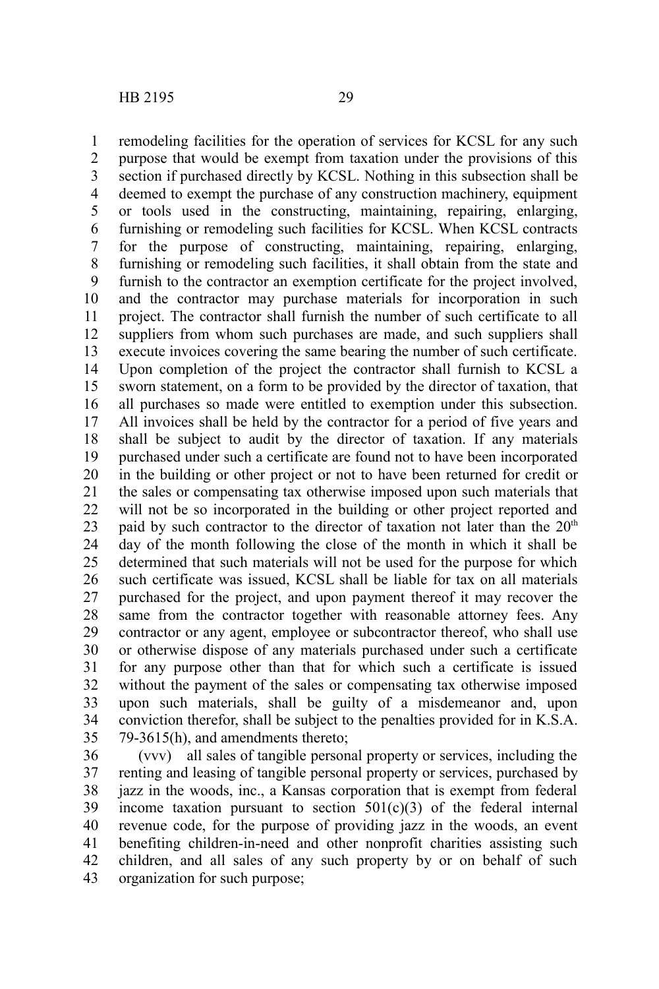remodeling facilities for the operation of services for KCSL for any such purpose that would be exempt from taxation under the provisions of this section if purchased directly by KCSL. Nothing in this subsection shall be deemed to exempt the purchase of any construction machinery, equipment or tools used in the constructing, maintaining, repairing, enlarging, furnishing or remodeling such facilities for KCSL. When KCSL contracts for the purpose of constructing, maintaining, repairing, enlarging, furnishing or remodeling such facilities, it shall obtain from the state and furnish to the contractor an exemption certificate for the project involved, and the contractor may purchase materials for incorporation in such project. The contractor shall furnish the number of such certificate to all suppliers from whom such purchases are made, and such suppliers shall execute invoices covering the same bearing the number of such certificate. Upon completion of the project the contractor shall furnish to KCSL a sworn statement, on a form to be provided by the director of taxation, that all purchases so made were entitled to exemption under this subsection. All invoices shall be held by the contractor for a period of five years and shall be subject to audit by the director of taxation. If any materials purchased under such a certificate are found not to have been incorporated in the building or other project or not to have been returned for credit or the sales or compensating tax otherwise imposed upon such materials that will not be so incorporated in the building or other project reported and paid by such contractor to the director of taxation not later than the  $20<sup>th</sup>$ day of the month following the close of the month in which it shall be determined that such materials will not be used for the purpose for which such certificate was issued, KCSL shall be liable for tax on all materials purchased for the project, and upon payment thereof it may recover the same from the contractor together with reasonable attorney fees. Any contractor or any agent, employee or subcontractor thereof, who shall use or otherwise dispose of any materials purchased under such a certificate for any purpose other than that for which such a certificate is issued without the payment of the sales or compensating tax otherwise imposed upon such materials, shall be guilty of a misdemeanor and, upon conviction therefor, shall be subject to the penalties provided for in K.S.A. 79-3615(h), and amendments thereto; 1 2 3 4 5 6 7 8 9 10 11 12 13 14 15 16 17 18 19 20 21 22 23 24 25 26 27 28 29 30 31 32 33 34 35

(vvv) all sales of tangible personal property or services, including the renting and leasing of tangible personal property or services, purchased by jazz in the woods, inc., a Kansas corporation that is exempt from federal income taxation pursuant to section  $501(c)(3)$  of the federal internal revenue code, for the purpose of providing jazz in the woods, an event benefiting children-in-need and other nonprofit charities assisting such children, and all sales of any such property by or on behalf of such organization for such purpose; 36 37 38 39 40 41 42 43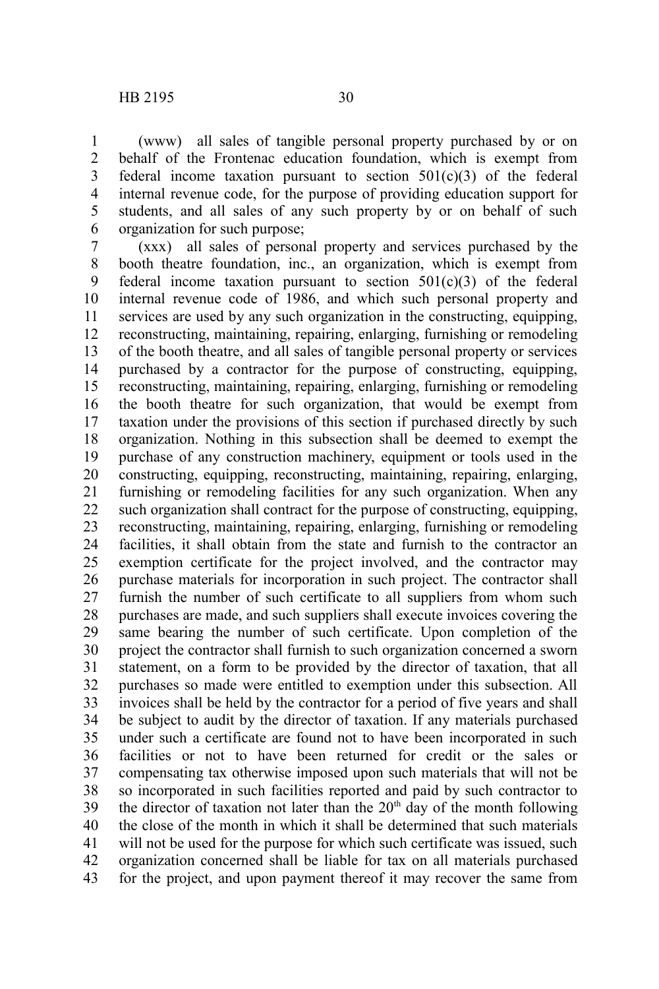(www) all sales of tangible personal property purchased by or on behalf of the Frontenac education foundation, which is exempt from federal income taxation pursuant to section  $501(c)(3)$  of the federal internal revenue code, for the purpose of providing education support for students, and all sales of any such property by or on behalf of such organization for such purpose; 1 2 3 4 5 6

(xxx) all sales of personal property and services purchased by the booth theatre foundation, inc., an organization, which is exempt from federal income taxation pursuant to section  $501(c)(3)$  of the federal internal revenue code of 1986, and which such personal property and services are used by any such organization in the constructing, equipping, reconstructing, maintaining, repairing, enlarging, furnishing or remodeling of the booth theatre, and all sales of tangible personal property or services purchased by a contractor for the purpose of constructing, equipping, reconstructing, maintaining, repairing, enlarging, furnishing or remodeling the booth theatre for such organization, that would be exempt from taxation under the provisions of this section if purchased directly by such organization. Nothing in this subsection shall be deemed to exempt the purchase of any construction machinery, equipment or tools used in the constructing, equipping, reconstructing, maintaining, repairing, enlarging, furnishing or remodeling facilities for any such organization. When any such organization shall contract for the purpose of constructing, equipping, reconstructing, maintaining, repairing, enlarging, furnishing or remodeling facilities, it shall obtain from the state and furnish to the contractor an exemption certificate for the project involved, and the contractor may purchase materials for incorporation in such project. The contractor shall furnish the number of such certificate to all suppliers from whom such purchases are made, and such suppliers shall execute invoices covering the same bearing the number of such certificate. Upon completion of the project the contractor shall furnish to such organization concerned a sworn statement, on a form to be provided by the director of taxation, that all purchases so made were entitled to exemption under this subsection. All invoices shall be held by the contractor for a period of five years and shall be subject to audit by the director of taxation. If any materials purchased under such a certificate are found not to have been incorporated in such facilities or not to have been returned for credit or the sales or compensating tax otherwise imposed upon such materials that will not be so incorporated in such facilities reported and paid by such contractor to the director of taxation not later than the  $20<sup>th</sup>$  day of the month following the close of the month in which it shall be determined that such materials will not be used for the purpose for which such certificate was issued, such organization concerned shall be liable for tax on all materials purchased for the project, and upon payment thereof it may recover the same from 7 8 9 10 11 12 13 14 15 16 17 18 19 20 21 22 23 24 25 26 27 28 29 30 31 32 33 34 35 36 37 38 39 40 41 42 43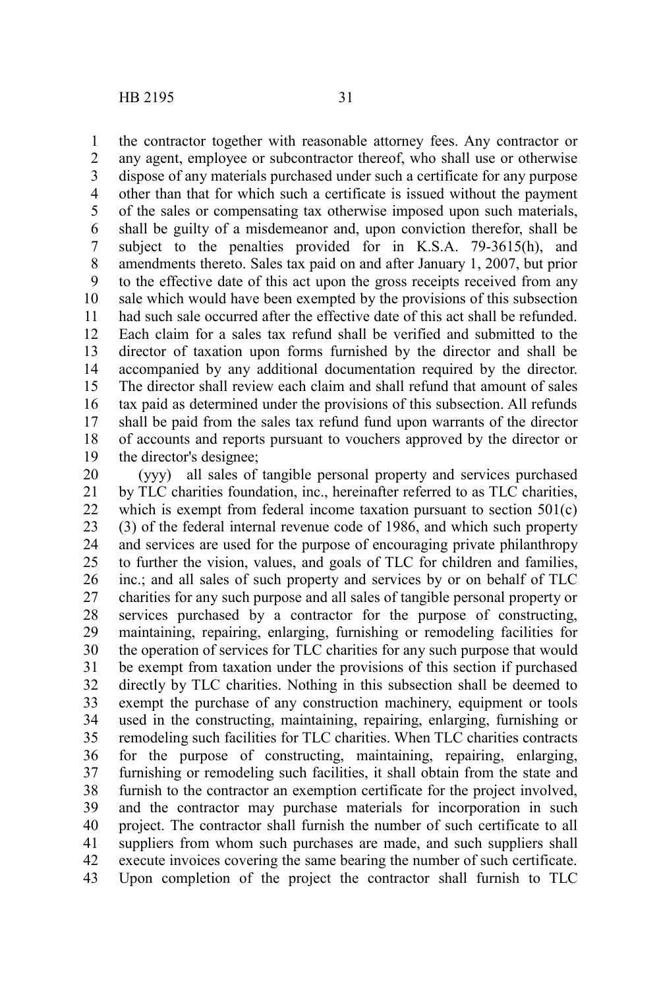the contractor together with reasonable attorney fees. Any contractor or any agent, employee or subcontractor thereof, who shall use or otherwise dispose of any materials purchased under such a certificate for any purpose other than that for which such a certificate is issued without the payment of the sales or compensating tax otherwise imposed upon such materials, shall be guilty of a misdemeanor and, upon conviction therefor, shall be subject to the penalties provided for in K.S.A. 79-3615(h), and amendments thereto. Sales tax paid on and after January 1, 2007, but prior to the effective date of this act upon the gross receipts received from any sale which would have been exempted by the provisions of this subsection had such sale occurred after the effective date of this act shall be refunded. Each claim for a sales tax refund shall be verified and submitted to the director of taxation upon forms furnished by the director and shall be accompanied by any additional documentation required by the director. The director shall review each claim and shall refund that amount of sales tax paid as determined under the provisions of this subsection. All refunds shall be paid from the sales tax refund fund upon warrants of the director of accounts and reports pursuant to vouchers approved by the director or the director's designee; 1 2 3 4 5 6 7 8 9 10 11 12 13 14 15 16 17 18 19

(yyy) all sales of tangible personal property and services purchased by TLC charities foundation, inc., hereinafter referred to as TLC charities, which is exempt from federal income taxation pursuant to section 501(c) (3) of the federal internal revenue code of 1986, and which such property and services are used for the purpose of encouraging private philanthropy to further the vision, values, and goals of TLC for children and families, inc.; and all sales of such property and services by or on behalf of TLC charities for any such purpose and all sales of tangible personal property or services purchased by a contractor for the purpose of constructing, maintaining, repairing, enlarging, furnishing or remodeling facilities for the operation of services for TLC charities for any such purpose that would be exempt from taxation under the provisions of this section if purchased directly by TLC charities. Nothing in this subsection shall be deemed to exempt the purchase of any construction machinery, equipment or tools used in the constructing, maintaining, repairing, enlarging, furnishing or remodeling such facilities for TLC charities. When TLC charities contracts for the purpose of constructing, maintaining, repairing, enlarging, furnishing or remodeling such facilities, it shall obtain from the state and furnish to the contractor an exemption certificate for the project involved, and the contractor may purchase materials for incorporation in such project. The contractor shall furnish the number of such certificate to all suppliers from whom such purchases are made, and such suppliers shall execute invoices covering the same bearing the number of such certificate. Upon completion of the project the contractor shall furnish to TLC 20 21 22 23 24 25 26 27 28 29 30 31 32 33 34 35 36 37 38 39 40 41 42 43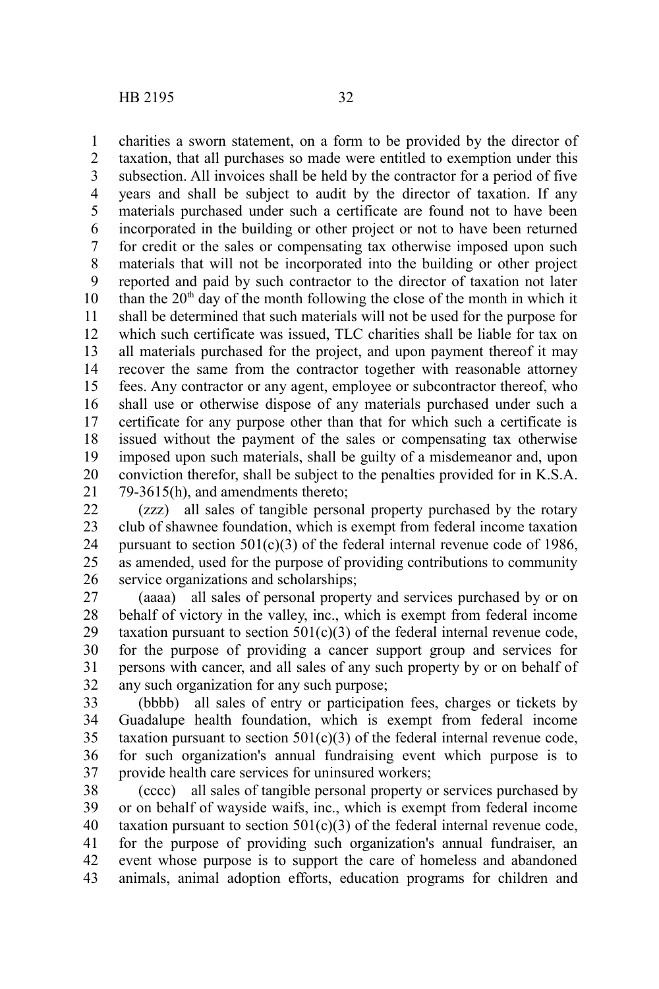charities a sworn statement, on a form to be provided by the director of taxation, that all purchases so made were entitled to exemption under this subsection. All invoices shall be held by the contractor for a period of five years and shall be subject to audit by the director of taxation. If any materials purchased under such a certificate are found not to have been incorporated in the building or other project or not to have been returned for credit or the sales or compensating tax otherwise imposed upon such materials that will not be incorporated into the building or other project reported and paid by such contractor to the director of taxation not later than the  $20<sup>th</sup>$  day of the month following the close of the month in which it shall be determined that such materials will not be used for the purpose for which such certificate was issued, TLC charities shall be liable for tax on all materials purchased for the project, and upon payment thereof it may recover the same from the contractor together with reasonable attorney fees. Any contractor or any agent, employee or subcontractor thereof, who shall use or otherwise dispose of any materials purchased under such a certificate for any purpose other than that for which such a certificate is issued without the payment of the sales or compensating tax otherwise imposed upon such materials, shall be guilty of a misdemeanor and, upon conviction therefor, shall be subject to the penalties provided for in K.S.A. 79-3615(h), and amendments thereto; 1 2 3 4 5 6 7 8 9 10 11 12 13 14 15 16 17 18 19 20 21

(zzz) all sales of tangible personal property purchased by the rotary club of shawnee foundation, which is exempt from federal income taxation pursuant to section  $501(c)(3)$  of the federal internal revenue code of 1986, as amended, used for the purpose of providing contributions to community service organizations and scholarships; 22 23 24 25 26

(aaaa) all sales of personal property and services purchased by or on behalf of victory in the valley, inc., which is exempt from federal income taxation pursuant to section  $501(c)(3)$  of the federal internal revenue code, for the purpose of providing a cancer support group and services for persons with cancer, and all sales of any such property by or on behalf of any such organization for any such purpose; 27 28 29 30 31 32

(bbbb) all sales of entry or participation fees, charges or tickets by Guadalupe health foundation, which is exempt from federal income taxation pursuant to section  $501(c)(3)$  of the federal internal revenue code, for such organization's annual fundraising event which purpose is to provide health care services for uninsured workers; 33 34 35 36 37

(cccc) all sales of tangible personal property or services purchased by or on behalf of wayside waifs, inc., which is exempt from federal income taxation pursuant to section  $501(c)(3)$  of the federal internal revenue code, for the purpose of providing such organization's annual fundraiser, an event whose purpose is to support the care of homeless and abandoned animals, animal adoption efforts, education programs for children and 38 39 40 41 42 43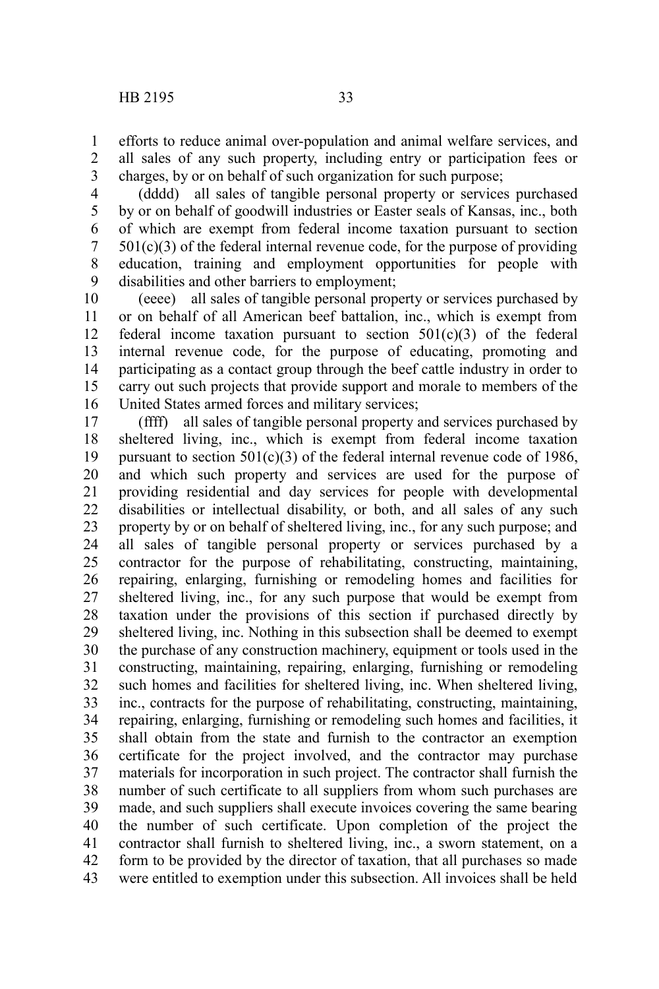efforts to reduce animal over-population and animal welfare services, and all sales of any such property, including entry or participation fees or charges, by or on behalf of such organization for such purpose; 1 2 3

(dddd) all sales of tangible personal property or services purchased by or on behalf of goodwill industries or Easter seals of Kansas, inc., both of which are exempt from federal income taxation pursuant to section  $501(c)(3)$  of the federal internal revenue code, for the purpose of providing education, training and employment opportunities for people with disabilities and other barriers to employment; 4 5 6 7 8 9

(eeee) all sales of tangible personal property or services purchased by or on behalf of all American beef battalion, inc., which is exempt from federal income taxation pursuant to section  $501(c)(3)$  of the federal internal revenue code, for the purpose of educating, promoting and participating as a contact group through the beef cattle industry in order to carry out such projects that provide support and morale to members of the United States armed forces and military services; 10 11 12 13 14 15 16

(ffff) all sales of tangible personal property and services purchased by sheltered living, inc., which is exempt from federal income taxation pursuant to section  $501(c)(3)$  of the federal internal revenue code of 1986, and which such property and services are used for the purpose of providing residential and day services for people with developmental disabilities or intellectual disability, or both, and all sales of any such property by or on behalf of sheltered living, inc., for any such purpose; and all sales of tangible personal property or services purchased by a contractor for the purpose of rehabilitating, constructing, maintaining, repairing, enlarging, furnishing or remodeling homes and facilities for sheltered living, inc., for any such purpose that would be exempt from taxation under the provisions of this section if purchased directly by sheltered living, inc. Nothing in this subsection shall be deemed to exempt the purchase of any construction machinery, equipment or tools used in the constructing, maintaining, repairing, enlarging, furnishing or remodeling such homes and facilities for sheltered living, inc. When sheltered living, inc., contracts for the purpose of rehabilitating, constructing, maintaining, repairing, enlarging, furnishing or remodeling such homes and facilities, it shall obtain from the state and furnish to the contractor an exemption certificate for the project involved, and the contractor may purchase materials for incorporation in such project. The contractor shall furnish the number of such certificate to all suppliers from whom such purchases are made, and such suppliers shall execute invoices covering the same bearing the number of such certificate. Upon completion of the project the contractor shall furnish to sheltered living, inc., a sworn statement, on a form to be provided by the director of taxation, that all purchases so made were entitled to exemption under this subsection. All invoices shall be held 17 18 19 20 21 22 23 24 25 26 27 28 29 30 31 32 33 34 35 36 37 38 39 40 41 42 43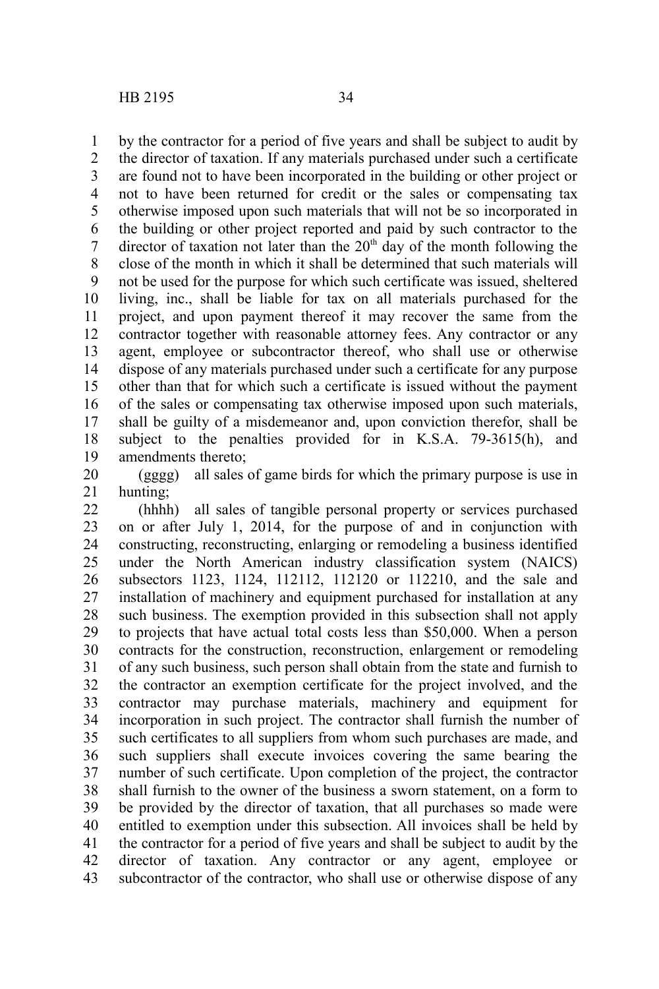by the contractor for a period of five years and shall be subject to audit by the director of taxation. If any materials purchased under such a certificate are found not to have been incorporated in the building or other project or not to have been returned for credit or the sales or compensating tax otherwise imposed upon such materials that will not be so incorporated in the building or other project reported and paid by such contractor to the director of taxation not later than the  $20<sup>th</sup>$  day of the month following the close of the month in which it shall be determined that such materials will not be used for the purpose for which such certificate was issued, sheltered living, inc., shall be liable for tax on all materials purchased for the project, and upon payment thereof it may recover the same from the contractor together with reasonable attorney fees. Any contractor or any agent, employee or subcontractor thereof, who shall use or otherwise dispose of any materials purchased under such a certificate for any purpose other than that for which such a certificate is issued without the payment of the sales or compensating tax otherwise imposed upon such materials, shall be guilty of a misdemeanor and, upon conviction therefor, shall be subject to the penalties provided for in K.S.A. 79-3615(h), and amendments thereto; 1 2 3 4 5 6 7 8 9 10 11 12 13 14 15 16 17 18 19

(gggg) all sales of game birds for which the primary purpose is use in hunting; 20 21

(hhhh) all sales of tangible personal property or services purchased on or after July 1, 2014, for the purpose of and in conjunction with constructing, reconstructing, enlarging or remodeling a business identified under the North American industry classification system (NAICS) subsectors 1123, 1124, 112112, 112120 or 112210, and the sale and installation of machinery and equipment purchased for installation at any such business. The exemption provided in this subsection shall not apply to projects that have actual total costs less than \$50,000. When a person contracts for the construction, reconstruction, enlargement or remodeling of any such business, such person shall obtain from the state and furnish to the contractor an exemption certificate for the project involved, and the contractor may purchase materials, machinery and equipment for incorporation in such project. The contractor shall furnish the number of such certificates to all suppliers from whom such purchases are made, and such suppliers shall execute invoices covering the same bearing the number of such certificate. Upon completion of the project, the contractor shall furnish to the owner of the business a sworn statement, on a form to be provided by the director of taxation, that all purchases so made were entitled to exemption under this subsection. All invoices shall be held by the contractor for a period of five years and shall be subject to audit by the director of taxation. Any contractor or any agent, employee or subcontractor of the contractor, who shall use or otherwise dispose of any 22 23 24 25 26 27 28 29 30 31 32 33 34 35 36 37 38 39 40 41 42 43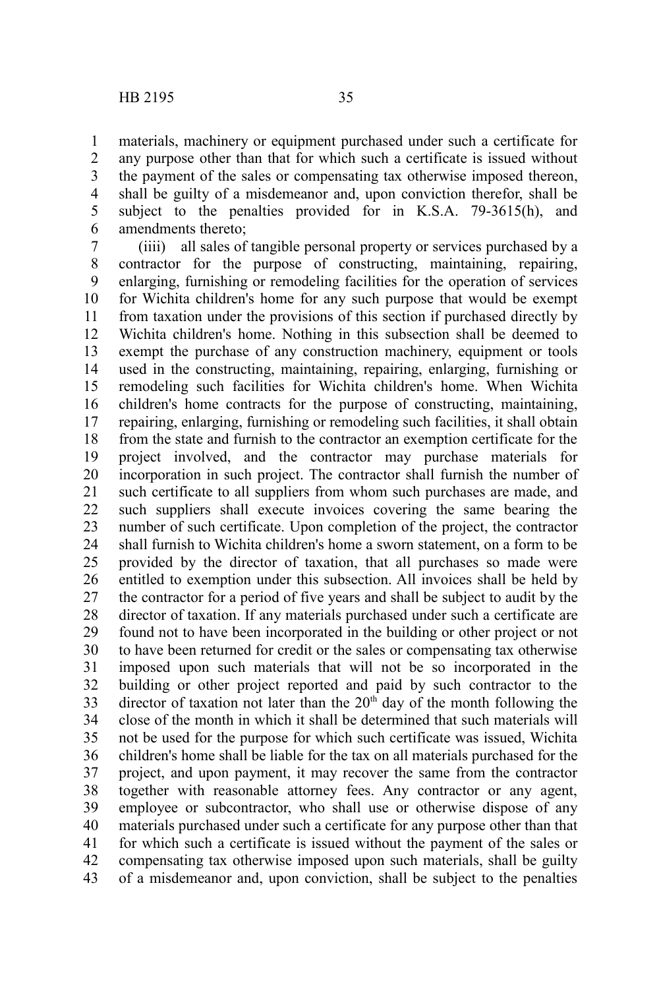materials, machinery or equipment purchased under such a certificate for any purpose other than that for which such a certificate is issued without the payment of the sales or compensating tax otherwise imposed thereon, shall be guilty of a misdemeanor and, upon conviction therefor, shall be subject to the penalties provided for in K.S.A. 79-3615(h), and amendments thereto; 1 2 3 4 5 6

(iiii) all sales of tangible personal property or services purchased by a contractor for the purpose of constructing, maintaining, repairing, enlarging, furnishing or remodeling facilities for the operation of services for Wichita children's home for any such purpose that would be exempt from taxation under the provisions of this section if purchased directly by Wichita children's home. Nothing in this subsection shall be deemed to exempt the purchase of any construction machinery, equipment or tools used in the constructing, maintaining, repairing, enlarging, furnishing or remodeling such facilities for Wichita children's home. When Wichita children's home contracts for the purpose of constructing, maintaining, repairing, enlarging, furnishing or remodeling such facilities, it shall obtain from the state and furnish to the contractor an exemption certificate for the project involved, and the contractor may purchase materials for incorporation in such project. The contractor shall furnish the number of such certificate to all suppliers from whom such purchases are made, and such suppliers shall execute invoices covering the same bearing the number of such certificate. Upon completion of the project, the contractor shall furnish to Wichita children's home a sworn statement, on a form to be provided by the director of taxation, that all purchases so made were entitled to exemption under this subsection. All invoices shall be held by the contractor for a period of five years and shall be subject to audit by the director of taxation. If any materials purchased under such a certificate are found not to have been incorporated in the building or other project or not to have been returned for credit or the sales or compensating tax otherwise imposed upon such materials that will not be so incorporated in the building or other project reported and paid by such contractor to the director of taxation not later than the  $20<sup>th</sup>$  day of the month following the close of the month in which it shall be determined that such materials will not be used for the purpose for which such certificate was issued, Wichita children's home shall be liable for the tax on all materials purchased for the project, and upon payment, it may recover the same from the contractor together with reasonable attorney fees. Any contractor or any agent, employee or subcontractor, who shall use or otherwise dispose of any materials purchased under such a certificate for any purpose other than that for which such a certificate is issued without the payment of the sales or compensating tax otherwise imposed upon such materials, shall be guilty of a misdemeanor and, upon conviction, shall be subject to the penalties 7 8 9 10 11 12 13 14 15 16 17 18 19 20 21 22 23 24 25 26 27 28 29 30 31 32 33 34 35 36 37 38 39 40 41 42 43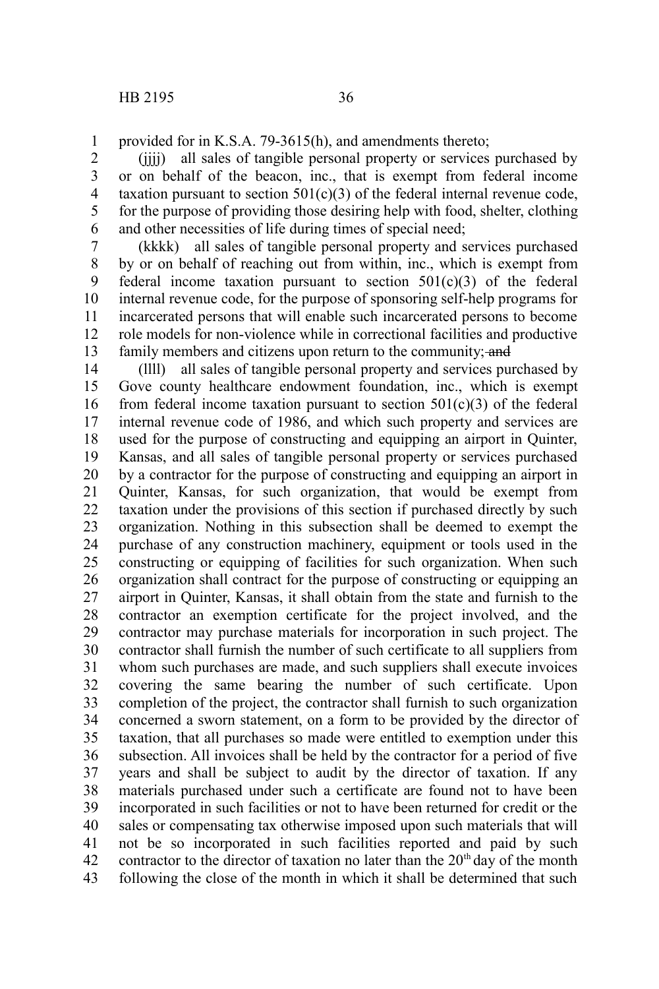provided for in K.S.A. 79-3615(h), and amendments thereto; 1

(jjjj) all sales of tangible personal property or services purchased by or on behalf of the beacon, inc., that is exempt from federal income taxation pursuant to section  $501(c)(3)$  of the federal internal revenue code, for the purpose of providing those desiring help with food, shelter, clothing and other necessities of life during times of special need; 2 3 4 5 6

(kkkk) all sales of tangible personal property and services purchased by or on behalf of reaching out from within, inc., which is exempt from federal income taxation pursuant to section  $501(c)(3)$  of the federal internal revenue code, for the purpose of sponsoring self-help programs for incarcerated persons that will enable such incarcerated persons to become role models for non-violence while in correctional facilities and productive family members and citizens upon return to the community; and 7 8 9 10 11 12 13

(llll) all sales of tangible personal property and services purchased by Gove county healthcare endowment foundation, inc., which is exempt from federal income taxation pursuant to section  $501(c)(3)$  of the federal internal revenue code of 1986, and which such property and services are used for the purpose of constructing and equipping an airport in Quinter, Kansas, and all sales of tangible personal property or services purchased by a contractor for the purpose of constructing and equipping an airport in Quinter, Kansas, for such organization, that would be exempt from taxation under the provisions of this section if purchased directly by such organization. Nothing in this subsection shall be deemed to exempt the purchase of any construction machinery, equipment or tools used in the constructing or equipping of facilities for such organization. When such organization shall contract for the purpose of constructing or equipping an airport in Quinter, Kansas, it shall obtain from the state and furnish to the contractor an exemption certificate for the project involved, and the contractor may purchase materials for incorporation in such project. The contractor shall furnish the number of such certificate to all suppliers from whom such purchases are made, and such suppliers shall execute invoices covering the same bearing the number of such certificate. Upon completion of the project, the contractor shall furnish to such organization concerned a sworn statement, on a form to be provided by the director of taxation, that all purchases so made were entitled to exemption under this subsection. All invoices shall be held by the contractor for a period of five years and shall be subject to audit by the director of taxation. If any materials purchased under such a certificate are found not to have been incorporated in such facilities or not to have been returned for credit or the sales or compensating tax otherwise imposed upon such materials that will not be so incorporated in such facilities reported and paid by such contractor to the director of taxation no later than the  $20<sup>th</sup>$  day of the month following the close of the month in which it shall be determined that such 14 15 16 17 18 19 20 21 22 23 24 25 26 27 28 29 30 31 32 33 34 35 36 37 38 39 40 41 42 43